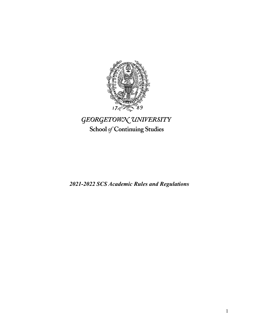

# GEORGETOWN UNIVERSITY School of Continuing Studies

*2021-2022 SCS Academic Rules and Regulations*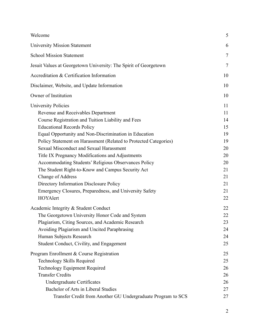| Welcome                                                                                                                                                                                                                                                                                                                                                                                                                                                                                                                                                                                                                                     | 5                                                                                |
|---------------------------------------------------------------------------------------------------------------------------------------------------------------------------------------------------------------------------------------------------------------------------------------------------------------------------------------------------------------------------------------------------------------------------------------------------------------------------------------------------------------------------------------------------------------------------------------------------------------------------------------------|----------------------------------------------------------------------------------|
| <b>University Mission Statement</b>                                                                                                                                                                                                                                                                                                                                                                                                                                                                                                                                                                                                         | 6                                                                                |
| <b>School Mission Statement</b>                                                                                                                                                                                                                                                                                                                                                                                                                                                                                                                                                                                                             | $\tau$                                                                           |
| Jesuit Values at Georgetown University: The Spirit of Georgetown                                                                                                                                                                                                                                                                                                                                                                                                                                                                                                                                                                            | 7                                                                                |
| Accreditation & Certification Information                                                                                                                                                                                                                                                                                                                                                                                                                                                                                                                                                                                                   | 10                                                                               |
| Disclaimer, Website, and Update Information                                                                                                                                                                                                                                                                                                                                                                                                                                                                                                                                                                                                 | 10                                                                               |
| Owner of Institution                                                                                                                                                                                                                                                                                                                                                                                                                                                                                                                                                                                                                        | 10                                                                               |
| <b>University Policies</b><br>Revenue and Receivables Department<br>Course Registration and Tuition Liability and Fees<br><b>Educational Records Policy</b><br>Equal Opportunity and Non-Discrimination in Education<br>Policy Statement on Harassment (Related to Protected Categories)<br>Sexual Misconduct and Sexual Harassment<br>Title IX Pregnancy Modifications and Adjustments<br>Accommodating Students' Religious Observances Policy<br>The Student Right-to-Know and Campus Security Act<br>Change of Address<br>Directory Information Disclosure Policy<br>Emergency Closures, Preparedness, and University Safety<br>HOYAlert | 11<br>11<br>14<br>15<br>19<br>19<br>20<br>20<br>20<br>21<br>21<br>21<br>21<br>22 |
| Academic Integrity & Student Conduct<br>The Georgetown University Honor Code and System<br>Plagiarism, Citing Sources, and Academic Research<br>Avoiding Plagiarism and Uncited Paraphrasing<br>Human Subjects Research<br>Student Conduct, Civility, and Engagement                                                                                                                                                                                                                                                                                                                                                                        | 22<br>22<br>23<br>24<br>24<br>25                                                 |
| Program Enrollment & Course Registration<br>Technology Skills Required<br><b>Technology Equipment Required</b><br><b>Transfer Credits</b><br>Undergraduate Certificates<br>Bachelor of Arts in Liberal Studies                                                                                                                                                                                                                                                                                                                                                                                                                              | 25<br>25<br>26<br>26<br>26<br>27                                                 |
| Transfer Credit from Another GU Undergraduate Program to SCS                                                                                                                                                                                                                                                                                                                                                                                                                                                                                                                                                                                | 27                                                                               |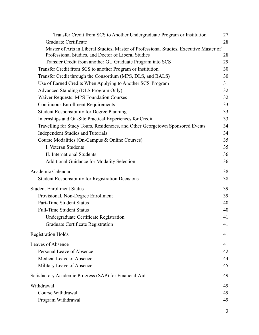| Transfer Credit from SCS to Another Undergraduate Program or Institution                                                                      | 27 |
|-----------------------------------------------------------------------------------------------------------------------------------------------|----|
| Graduate Certificate                                                                                                                          | 28 |
| Master of Arts in Liberal Studies, Master of Professional Studies, Executive Master of<br>Professional Studies, and Doctor of Liberal Studies | 28 |
| Transfer Credit from another GU Graduate Program into SCS                                                                                     | 29 |
| Transfer Credit from SCS to another Program or Institution                                                                                    | 30 |
| Transfer Credit through the Consortium (MPS, DLS, and BALS)                                                                                   | 30 |
| Use of Earned Credits When Applying to Another SCS Program                                                                                    | 31 |
| Advanced Standing (DLS Program Only)                                                                                                          | 32 |
| <b>Waiver Requests: MPS Foundation Courses</b>                                                                                                | 32 |
| <b>Continuous Enrollment Requirements</b>                                                                                                     | 33 |
| <b>Student Responsibility for Degree Planning</b>                                                                                             | 33 |
| Internships and On-Site Practical Experiences for Credit                                                                                      | 33 |
| Travelling for Study Tours, Residencies, and Other Georgetown Sponsored Events                                                                | 34 |
| <b>Independent Studies and Tutorials</b>                                                                                                      | 34 |
| Course Modalities (On-Campus & Online Courses)                                                                                                | 35 |
| I. Veteran Students                                                                                                                           | 35 |
| II. International Students                                                                                                                    | 36 |
| <b>Additional Guidance for Modality Selection</b>                                                                                             | 36 |
| Academic Calendar                                                                                                                             | 38 |
| <b>Student Responsibility for Registration Decisions</b>                                                                                      | 38 |
| <b>Student Enrollment Status</b>                                                                                                              | 39 |
| Provisional, Non-Degree Enrollment                                                                                                            | 39 |
| Part-Time Student Status                                                                                                                      | 40 |
| <b>Full-Time Student Status</b>                                                                                                               | 40 |
| Undergraduate Certificate Registration                                                                                                        | 41 |
| Graduate Certificate Registration                                                                                                             | 41 |
| <b>Registration Holds</b>                                                                                                                     | 41 |
| <b>Leaves of Absence</b>                                                                                                                      | 41 |
| Personal Leave of Absence                                                                                                                     | 42 |
| Medical Leave of Absence                                                                                                                      | 44 |
| Military Leave of Absence                                                                                                                     | 45 |
| Satisfactory Academic Progress (SAP) for Financial Aid                                                                                        | 49 |
| Withdrawal                                                                                                                                    | 49 |
| Course Withdrawal                                                                                                                             | 49 |
| Program Withdrawal                                                                                                                            | 49 |
|                                                                                                                                               |    |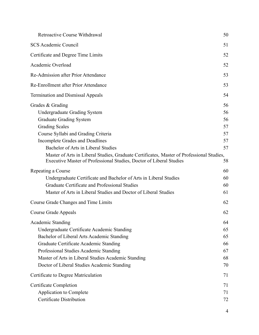| <b>Retroactive Course Withdrawal</b>                                                                                                                                                                                                                                                                                                                                                             | 50                                           |
|--------------------------------------------------------------------------------------------------------------------------------------------------------------------------------------------------------------------------------------------------------------------------------------------------------------------------------------------------------------------------------------------------|----------------------------------------------|
| <b>SCS Academic Council</b>                                                                                                                                                                                                                                                                                                                                                                      | 51                                           |
| Certificate and Degree Time Limits                                                                                                                                                                                                                                                                                                                                                               | 52                                           |
| Academic Overload                                                                                                                                                                                                                                                                                                                                                                                | 52                                           |
| Re-Admission after Prior Attendance                                                                                                                                                                                                                                                                                                                                                              | 53                                           |
| Re-Enrollment after Prior Attendance                                                                                                                                                                                                                                                                                                                                                             | 53                                           |
| <b>Termination and Dismissal Appeals</b>                                                                                                                                                                                                                                                                                                                                                         | 54                                           |
| Grades & Grading<br><b>Undergraduate Grading System</b><br>Graduate Grading System<br><b>Grading Scales</b><br>Course Syllabi and Grading Criteria<br>Incomplete Grades and Deadlines<br>Bachelor of Arts in Liberal Studies<br>Master of Arts in Liberal Studies, Graduate Certificates, Master of Professional Studies,<br>Executive Master of Professional Studies, Doctor of Liberal Studies | 56<br>56<br>56<br>57<br>57<br>57<br>57<br>58 |
| Repeating a Course<br>Undergraduate Certificate and Bachelor of Arts in Liberal Studies<br>Graduate Certificate and Professional Studies<br>Master of Arts in Liberal Studies and Doctor of Liberal Studies                                                                                                                                                                                      | 60<br>60<br>60<br>61                         |
| Course Grade Changes and Time Limits                                                                                                                                                                                                                                                                                                                                                             | 62                                           |
| Course Grade Appeals                                                                                                                                                                                                                                                                                                                                                                             | 62                                           |
| <b>Academic Standing</b><br>Undergraduate Certificate Academic Standing<br>Bachelor of Liberal Arts Academic Standing<br>Graduate Certificate Academic Standing<br>Professional Studies Academic Standing<br>Master of Arts in Liberal Studies Academic Standing<br>Doctor of Liberal Studies Academic Standing                                                                                  | 64<br>65<br>65<br>66<br>67<br>68<br>70       |
| Certificate to Degree Matriculation                                                                                                                                                                                                                                                                                                                                                              | 71                                           |
| <b>Certificate Completion</b><br>Application to Complete<br>Certificate Distribution                                                                                                                                                                                                                                                                                                             | 71<br>71<br>72                               |

4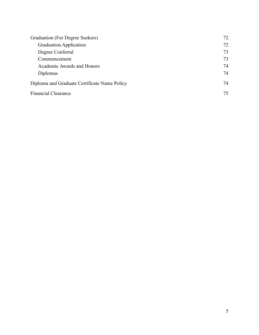| Graduation (For Degree Seekers)              | 72 |
|----------------------------------------------|----|
| <b>Graduation Application</b>                | 72 |
| Degree Conferral                             | 73 |
| Commencement                                 | 73 |
| Academic Awards and Honors                   | 74 |
| Diplomas                                     | 74 |
| Diploma and Graduate Certificate Name Policy | 74 |
| <b>Financial Clearance</b>                   | 75 |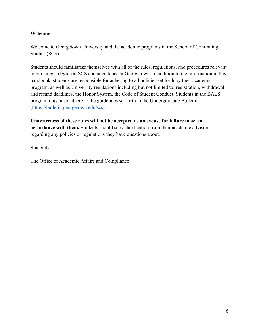### <span id="page-5-0"></span>**Welcome**

Welcome to Georgetown University and the academic programs in the School of Continuing Studies (SCS).

Students should familiarize themselves with all of the rules, regulations, and procedures relevant to pursuing a degree at SCS and attendance at Georgetown. In addition to the information in this handbook, students are responsible for adhering to all policies set forth by their academic program, as well as University regulations including but not limited to: registration, withdrawal, and refund deadlines, the Honor System, the Code of Student Conduct. Students in the BALS program must also adhere to the guidelines set forth in the Undergraduate Bulletin ([https://bulletin.georgetown.edu/scs\)](https://bulletin.georgetown.edu/scs).

**Unawareness of these rules will not be accepted as an excuse for failure to act in accordance with them.** Students should seek clarification from their academic advisors regarding any policies or regulations they have questions about.

Sincerely,

The Office of Academic Affairs and Compliance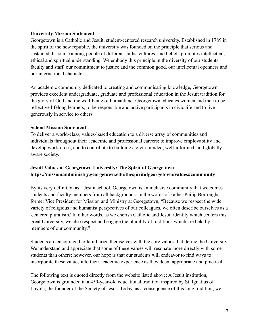### <span id="page-6-0"></span>**University Mission Statement**

Georgetown is a Catholic and Jesuit, student-centered research university. Established in 1789 in the spirit of the new republic, the university was founded on the principle that serious and sustained discourse among people of different faiths, cultures, and beliefs promotes intellectual, ethical and spiritual understanding. We embody this principle in the diversity of our students, faculty and staff, our commitment to justice and the common good, our intellectual openness and our international character.

An academic community dedicated to creating and communicating knowledge, Georgetown provides excellent undergraduate, graduate and professional education in the Jesuit tradition for the glory of God and the well-being of humankind. Georgetown educates women and men to be reflective lifelong learners, to be responsible and active participants in civic life and to live generously in service to others.

#### <span id="page-6-1"></span>**School Mission Statement**

To deliver a world-class, values-based education to a diverse array of communities and individuals throughout their academic and professional careers; to improve employability and develop workforces; and to contribute to building a civic-minded, well-informed, and globally aware society.

# <span id="page-6-2"></span>**Jesuit Values at Georgetown University: The Spirit of Georgetown https://missionandministry.georgetown.edu/thespiritofgeorgetown/values#community**

By its very definition as a Jesuit school, Georgetown is an inclusive community that welcomes students and faculty members from all backgrounds. In the words of Father Philip Borroughs, former Vice President for Mission and Ministry at Georgetown, "Because we respect the wide variety of religious and humanist perspectives of our colleagues, we often describe ourselves as a 'centered pluralism.' In other words, as we cherish Catholic and Jesuit identity which centers this great University, we also respect and engage the plurality of traditions which are held by members of our community."

Students are encouraged to familiarize themselves with the core values that define the University. We understand and appreciate that some of these values will resonate more directly with some students than others; however, our hope is that our students will endeavor to find ways to incorporate these values into their academic experience as they deem appropriate and practical.

The following text is quoted directly from the website listed above: A Jesuit institution, Georgetown is grounded in a 450-year-old educational tradition inspired by St. Ignatius of Loyola, the founder of the Society of Jesus. Today, as a consequence of this long tradition, we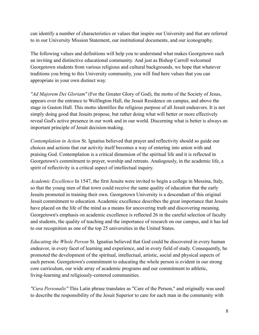can identify a number of characteristics or values that inspire our University and that are referred to in our University Mission Statement, our institutional documents, and our iconography.

The following values and definitions will help you to understand what makes Georgetown such an inviting and distinctive educational community. And just as Bishop Carroll welcomed Georgetown students from various religious and cultural backgrounds, we hope that whatever traditions you bring to this University community, you will find here values that you can appropriate in your own distinct way.

*"Ad Majorem Dei Gloriam"* (For the Greater Glory of God), the motto of the Society of Jesus, appears over the entrance to Wolfington Hall, the Jesuit Residence on campus, and above the stage in Gaston Hall. This motto identifies the religious purpose of all Jesuit endeavors. It is not simply doing good that Jesuits propose, but rather doing what will better or more effectively reveal God's active presence in our work and in our world. Discerning what is better is always an important principle of Jesuit decision-making.

*Contemplation in Action* St. Ignatius believed that prayer and reflectivity should so guide our choices and actions that our activity itself becomes a way of entering into union with and praising God. Contemplation is a critical dimension of the spiritual life and it is reflected in Georgetown's commitment to prayer, worship and retreats. Analogously, in the academic life, a spirit of reflectivity is a critical aspect of intellectual inquiry.

*Academic Excellence* In 1547, the first Jesuits were invited to begin a college in Messina, Italy, so that the young men of that town could receive the same quality of education that the early Jesuits promoted in training their own. Georgetown University is a descendant of this original Jesuit commitment to education. Academic excellence describes the great importance that Jesuits have placed on the life of the mind as a means for uncovering truth and discovering meaning. Georgetown's emphasis on academic excellence is reflected 26 in the careful selection of faculty and students, the quality of teaching and the importance of research on our campus, and it has led to our recognition as one of the top 25 universities in the United States.

*Educating the Whole Person* St. Ignatius believed that God could be discovered in every human endeavor, in every facet of learning and experience, and in every field of study. Consequently, he promoted the development of the spiritual, intellectual, artistic, social and physical aspects of each person. Georgetown's commitment to educating the whole person is evident in our strong core curriculum, our wide array of academic programs and our commitment to athletic, living-learning and religiously-centered communities.

*"Cura Personalis"* This Latin phrase translates as "Care of the Person," and originally was used to describe the responsibility of the Jesuit Superior to care for each man in the community with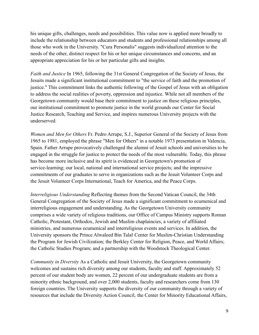his unique gifts, challenges, needs and possibilities. This value now is applied more broadly to include the relationship between educators and students and professional relationships among all those who work in the University. "Cura Personalis" suggests individualized attention to the needs of the other, distinct respect for his or her unique circumstances and concerns, and an appropriate appreciation for his or her particular gifts and insights.

*Faith and Justice* In 1965, following the 31st General Congregation of the Society of Jesus, the Jesuits made a significant institutional commitment to "the service of faith and the promotion of justice." This commitment links the authentic following of the Gospel of Jesus with an obligation to address the social realities of poverty, oppression and injustice. While not all members of the Georgetown community would base their commitment to justice on these religious principles, our institutional commitment to promote justice in the world grounds our Center for Social Justice Research, Teaching and Service, and inspires numerous University projects with the underserved.

*Women and Men for Others* Fr. Pedro Arrupe, S.J., Superior General of the Society of Jesus from 1965 to 1981, employed the phrase "Men for Others" in a notable 1973 presentation in Valencia, Spain. Father Arrupe provocatively challenged the alumni of Jesuit schools and universities to be engaged in the struggle for justice to protect the needs of the most vulnerable. Today, this phrase has become more inclusive and its spirit is evidenced in Georgetown's promotion of service-learning; our local, national and international service projects; and the impressive commitments of our graduates to serve in organizations such as the Jesuit Volunteer Corps and the Jesuit Volunteer Corps International, Teach for America, and the Peace Corps.

*Interreligious Understanding* Reflecting themes from the Second Vatican Council, the 34th General Congregation of the Society of Jesus made a significant commitment to ecumenical and interreligious engagement and understanding. As the Georgetown University community comprises a wide variety of religious traditions, our Office of Campus Ministry supports Roman Catholic, Protestant, Orthodox, Jewish and Muslim chaplaincies, a variety of affiliated ministries, and numerous ecumenical and interreligious events and services. In addition, the University sponsors the Prince Alwaleed Bin Talal Center for Muslim-Christian Understanding the Program for Jewish Civilization; the Berkley Center for Religion, Peace, and World Affairs; the Catholic Studies Program; and a partnership with the Woodstock Theological Center.

*Community in Diversity* As a Catholic and Jesuit University, the Georgetown community welcomes and sustains rich diversity among our students, faculty and staff. Approximately 52 percent of our student body are women, 22 percent of our undergraduate students are from a minority ethnic background, and over 2,000 students, faculty and researchers come from 130 foreign countries. The University supports the diversity of our community through a variety of resources that include the Diversity Action Council, the Center for Minority Educational Affairs,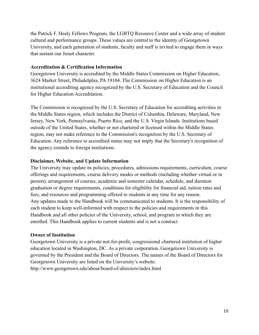the Patrick F. Healy Fellows Program, the LGBTQ Resource Center and a wide array of student cultural and performance groups. These values are central to the identity of Georgetown University, and each generation of students, faculty and staff is invited to engage them in ways that sustain our Jesuit character.

#### <span id="page-9-0"></span>**Accreditation & Certification Information**

Georgetown University is accredited by the Middle States Commission on Higher Education, 3624 Market Street, Philadelphia, PA 19104. The Commission on Higher Education is an institutional accrediting agency recognized by the U.S. Secretary of Education and the Council for Higher Education Accreditation.

The Commission is recognized by the U.S. Secretary of Education for accrediting activities in the Middle States region, which includes the District of Columbia, Delaware, Maryland, New Jersey, New York, Pennsylvania, Puerto Rico, and the U.S. Virgin Islands. Institutions based outside of the United States, whether or not chartered or licensed within the Middle States region, may not make reference to the Commission's recognition by the U.S. Secretary of Education. Any reference to accredited status may not imply that the Secretary's recognition of the agency extends to foreign institutions.

### <span id="page-9-1"></span>**Disclaimer, Website, and Update Information**

The University may update its policies, procedures, admissions requirements, curriculum, course offerings and requirements, course delivery modes or methods (including whether virtual or in person), arrangement of courses, academic and semester calendar, schedule, and duration graduation or degree requirements, conditions for eligibility for financial aid, tuition rates and fees, and resources and programming offered to students at any time for any reason. Any updates made to the Handbook will be communicated to students. It is the responsibility of each student to keep well-informed with respect to the policies and requirements in this Handbook and all other policies of the University, school, and program in which they are enrolled. This Handbook applies to current students and is not a contract.

### <span id="page-9-2"></span>**Owner of Institution**

Georgetown University is a private not-for-profit, congressional chartered institution of higher education located in Washington, DC. As a private corporation, Georgetown University is governed by the President and the Board of Directors. The names of the Board of Directors for Georgetown University are listed on the University's website: http://www.georgetown.edu/about/board-of-directors/index.html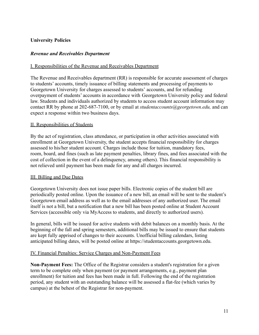# <span id="page-10-0"></span>**University Policies**

#### <span id="page-10-1"></span>*Revenue and Receivables Department*

#### I. Responsibilities of the Revenue and Receivables Department

The Revenue and Receivables department (RR) is responsible for accurate assessment of charges to students' accounts, timely issuance of billing statements and processing of payments to Georgetown University for charges assessed to students' accounts, and for refunding overpayment of students' accounts in accordance with Georgetown University policy and federal law. Students and individuals authorized by students to access student account information may contact RR by phone at 202-687-7100, or by email at *studentaccounts@georgetown.edu,* and can expect a response within two business days.

#### II. Responsibilities of Students

By the act of registration, class attendance, or participation in other activities associated with enrollment at Georgetown University, the student accepts financial responsibility for charges assessed to his/her student account. Charges include those for tuition, mandatory fees, room, board, and fines (such as late payment penalties, library fines, and fees associated with the cost of collection in the event of a delinquency, among others). This financial responsibility is not relieved until payment has been made for any and all charges incurred.

#### III. Billing and Due Dates

Georgetown University does not issue paper bills. Electronic copies of the student bill are periodically posted online. Upon the issuance of a new bill, an email will be sent to the student's Georgetown email address as well as to the email addresses of any authorized user. The email itself is not a bill, but a notification that a new bill has been posted online at Student Account Services (accessible only via MyAccess to students, and directly to authorized users).

In general, bills will be issued for active students with debit balances on a monthly basis. At the beginning of the fall and spring semesters, additional bills may be issued to ensure that students are kept fully apprised of changes to their accounts. Unofficial billing calendars, listing anticipated billing dates, will be posted online at https://studentaccounts.georgetown.edu.

#### IV. Financial Penalties: Service Charges and Non-Payment Fees

**Non-Payment Fees:** The Office of the Registrar considers a student's registration for a given term to be complete only when payment (or payment arrangements, e.g., payment plan enrollment) for tuition and fees has been made in full. Following the end of the registration period, any student with an outstanding balance will be assessed a flat-fee (which varies by campus) at the behest of the Registrar for non-payment.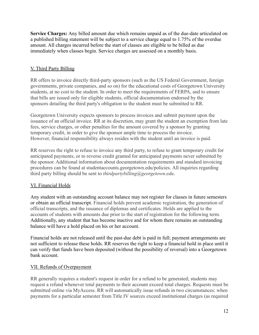**Service Charges:** Any billed amount due which remains unpaid as of the due-date articulated on a published billing statement will be subject to a service charge equal to 1.75% of the overdue amount. All charges incurred before the start of classes are eligible to be billed as due immediately when classes begin. Service charges are assessed on a monthly basis.

# V. Third Party Billing

RR offers to invoice directly third-party sponsors (such as the US Federal Government, foreign governments, private companies, and so on) for the educational costs of Georgetown University students, at no cost to the student. In order to meet the requirements of FERPA, and to ensure that bills are issued only for eligible students, official documentation endorsed by the sponsors detailing the third party's obligation to the student must be submitted to RR.

Georgetown University expects sponsors to process invoices and submit payment upon the issuance of an official invoice. RR at its discretion, may grant the student an exemption from late fees, service charges, or other penalties for the amount covered by a sponsor by granting temporary credit, in order to give the sponsor ample time to process the invoice. However, financial responsibility always resides with the student until an invoice is paid.

RR reserves the right to refuse to invoice any third party, to refuse to grant temporary credit for anticipated payments, or to reverse credit granted for anticipated payments never submitted by the sponsor. Additional information about documentation requirements and standard invoicing procedures can be found at studentaccounts.georgetown.edu/policies. All inquiries regarding third party billing should be sent to *thirdpartybilling@georgetown.edu*.

### VI. Financial Holds

Any student with an outstanding account balance may not register for classes in future semesters or obtain an official transcript. Financial holds prevent academic registration, the generation of official transcripts, and the issuance of diplomas and certificates. Holds are applied to the accounts of students with amounts due prior to the start of registration for the following term. Additionally, any student that has become inactive and for whom there remains an outstanding balance will have a hold placed on his or her account.

Financial holds are not released until the past-due debt is paid in full; payment arrangements are not sufficient to release these holds. RR reserves the right to keep a financial hold in place until it can verify that funds have been deposited (without the possibility of reversal) into a Georgetown bank account.

### VII. Refunds of Overpayment

RR generally requires a student's request in order for a refund to be generated; students may request a refund whenever total payments to their account exceed total charges. Requests must be submitted online via MyAccess. RR will automatically issue refunds in two circumstances: when payments for a particular semester from Title IV sources exceed institutional charges (as required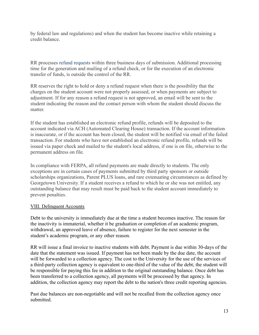by federal law and regulations) and when the student has become inactive while retaining a credit balance.

RR processes refund requests within three business days of submission. Additional processing time for the generation and mailing of a refund check, or for the execution of an electronic transfer of funds, is outside the control of the RR.

RR reserves the right to hold or deny a refund request when there is the possibility that the charges on the student account were not properly assessed, or when payments are subject to adjustment. If for any reason a refund request is not approved, an email will be sent to the student indicating the reason and the contact person with whom the student should discuss the matter.

If the student has established an electronic refund profile, refunds will be deposited to the account indicated via ACH (Automated Clearing House) transaction. If the account information is inaccurate, or if the account has been closed, the student will be notified via email of the failed transaction. For students who have not established an electronic refund profile, refunds will be issued via paper check and mailed to the student's local address, if one is on file, otherwise to the permanent address on file.

In compliance with FERPA, all refund payments are made directly to students. The only exceptions are in certain cases of payments submitted by third party sponsors or outside scholarships organizations, Parent PLUS loans, and rare extenuating circumstances as defined by Georgetown University. If a student receives a refund to which he or she was not entitled, any outstanding balance that may result must be paid back to the student account immediately to prevent penalties.

### VIII. Delinquent Accounts

Debt to the university is immediately due at the time a student becomes inactive. The reason for the inactivity is immaterial, whether it be graduation or completion of an academic program, withdrawal, an approved leave of absence, failure to register for the next semester in the student's academic program, or any other reason.

RR will issue a final invoice to inactive students with debt. Payment is due within 30-days of the date that the statement was issued. If payment has not been made by the due date, the account will be forwarded to a collection agency. The cost to the University for the use of the services of a third-party collection agency is equivalent to one-third of the value of the debt; the student will be responsible for paying this fee in addition to the original outstanding balance. Once debt has been transferred to a collection agency, all payments will be processed by that agency. In addition, the collection agency may report the debt to the nation's three credit reporting agencies.

Past due balances are non-negotiable and will not be recalled from the collection agency once submitted.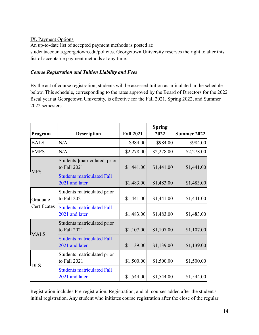# IX. Payment Options

An up-to-date list of accepted payment methods is posted at:

studentaccounts.georgetown.edu/policies. Georgetown University reserves the right to alter this list of acceptable payment methods at any time.

# <span id="page-13-0"></span>*Course Registration and Tuition Liability and Fees*

By the act of course registration, students will be assessed tuition as articulated in the schedule below. This schedule, corresponding to the rates approved by the Board of Directors for the 2022 fiscal year at Georgetown University, is effective for the Fall 2021, Spring 2022, and Summer 2022 semesters.

| Program                  | <b>Description</b>                                  | <b>Fall 2021</b> | <b>Spring</b><br>2022 | <b>Summer 2022</b> |
|--------------------------|-----------------------------------------------------|------------------|-----------------------|--------------------|
| <b>BALS</b>              | N/A                                                 | \$984.00         | \$984.00              | \$984.00           |
| <b>EMPS</b>              | N/A                                                 | \$2,278.00       | \$2,278.00            | \$2,278.00         |
| <b>MPS</b>               | Students ]matriculated prior<br>to Fall 2021        | \$1,441.00       | \$1,441.00            | \$1,441.00         |
|                          | <b>Students matriculated Fall</b><br>2021 and later | \$1,483.00       | \$1,483.00            | \$1,483.00         |
| Graduate<br>Certificates | Students matriculated prior<br>to Fall 2021         | \$1,441.00       | \$1,441.00            | \$1,441.00         |
|                          | <b>Students matriculated Fall</b><br>2021 and later | \$1,483.00       | \$1,483.00            | \$1,483.00         |
| <b>MALS</b>              | Students matriculated prior<br>to Fall 2021         | \$1,107.00       | \$1,107.00            | \$1,107.00         |
|                          | <b>Students matriculated Fall</b><br>2021 and later | \$1,139.00       | \$1,139.00            | \$1,139.00         |
| <b>DLS</b>               | Students matriculated prior<br>to Fall 2021         | \$1,500.00       | \$1,500.00            | \$1,500.00         |
|                          | <b>Students matriculated Fall</b><br>2021 and later | \$1,544.00       | \$1,544.00            | \$1,544.00         |

Registration includes Pre-registration, Registration, and all courses added after the student's initial registration. Any student who initiates course registration after the close of the regular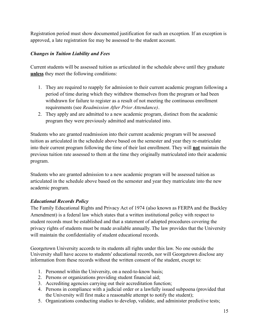Registration period must show documented justification for such an exception. If an exception is approved, a late registration fee may be assessed to the student account.

# *Changes in Tuition Liability and Fees*

Current students will be assessed tuition as articulated in the schedule above until they graduate **unless** they meet the following conditions:

- 1. They are required to reapply for admission to their current academic program following a period of time during which they withdrew themselves from the program or had been withdrawn for failure to register as a result of not meeting the continuous enrollment requirements (see *Readmission After Prior Attendance)*.
- 2. They apply and are admitted to a new academic program, distinct from the academic program they were previously admitted and matriculated into.

Students who are granted readmission into their current academic program will be assessed tuition as articulated in the schedule above based on the semester and year they re-matriculate into their current program following the time of their last enrollment. They will **not** maintain the previous tuition rate assessed to them at the time they originally matriculated into their academic program.

Students who are granted admission to a new academic program will be assessed tuition as articulated in the schedule above based on the semester and year they matriculate into the new academic program.

# <span id="page-14-0"></span>*Educational Records Policy*

The Family Educational Rights and Privacy Act of 1974 (also known as FERPA and the Buckley Amendment) is a federal law which states that a written institutional policy with respect to student records must be established and that a statement of adopted procedures covering the privacy rights of students must be made available annually. The law provides that the University will maintain the confidentiality of student educational records.

Georgetown University accords to its students all rights under this law. No one outside the University shall have access to students' educational records, nor will Georgetown disclose any information from these records without the written consent of the student, except to:

- 1. Personnel within the University, on a need-to-know basis;
- 2. Persons or organizations providing student financial aid;
- 3. Accrediting agencies carrying out their accreditation function;
- 4. Persons in compliance with a judicial order or a lawfully issued subpoena (provided that the University will first make a reasonable attempt to notify the student);
- 5. Organizations conducting studies to develop, validate, and administer predictive tests;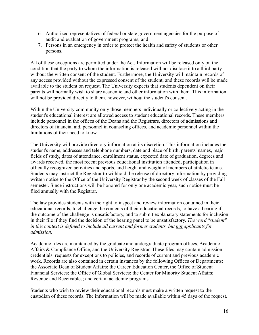- 6. Authorized representatives of federal or state government agencies for the purpose of audit and evaluation of government programs; and
- 7. Persons in an emergency in order to protect the health and safety of students or other persons.

All of these exceptions are permitted under the Act. Information will be released only on the condition that the party to whom the information is released will not disclose it to a third party without the written consent of the student. Furthermore, the University will maintain records of any access provided without the expressed consent of the student, and these records will be made available to the student on request. The University expects that students dependent on their parents will normally wish to share academic and other information with them. This information will not be provided directly to them, however, without the student's consent.

Within the University community only those members individually or collectively acting in the student's educational interest are allowed access to student educational records. These members include personnel in the offices of the Deans and the Registrars, directors of admissions and directors of financial aid, personnel in counseling offices, and academic personnel within the limitations of their need to know.

The University will provide directory information at its discretion. This information includes the student's name, addresses and telephone numbers, date and place of birth, parents' names, major fields of study, dates of attendance, enrollment status, expected date of graduation, degrees and awards received, the most recent previous educational institution attended, participation in officially recognized activities and sports, and height and weight of members of athletic teams. Students may instruct the Registrar to withhold the release of directory information by providing written notice to the Office of the University Registrar by the second week of classes of the Fall semester. Since instructions will be honored for only one academic year, such notice must be filed annually with the Registrar.

The law provides students with the right to inspect and review information contained in their educational records, to challenge the contents of their educational records, to have a hearing if the outcome of the challenge is unsatisfactory, and to submit explanatory statements for inclusion in their file if they find the decision of the hearing panel to be unsatisfactory. *The word "student" in this context is defined to include all current and former students, but not applicants for admission.*

Academic files are maintained by the graduate and undergraduate program offices, Academic Affairs & Compliance Office, and the University Registrar. These files may contain admission credentials, requests for exceptions to policies, and records of current and previous academic work. Records are also contained in certain instances by the following Offices or Departments: the Associate Dean of Student Affairs; the Career Education Center, the Office of Student Financial Services; the Office of Global Services; the Center for Minority Student Affairs; Revenue and Receivables; and certain academic programs.

Students who wish to review their educational records must make a written request to the custodian of these records. The information will be made available within 45 days of the request.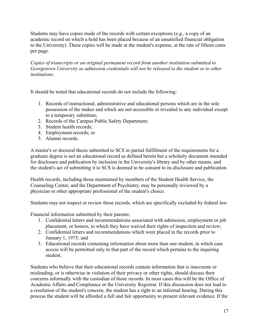Students may have copies made of the records with certain exceptions (e.g., a copy of an academic record on which a hold has been placed because of an unsatisfied financial obligation to the University). These copies will be made at the student's expense, at the rate of fifteen cents per page.

*Copies of transcripts or an original permanent record from another institution submitted to Georgetown University as admission credentials will not be released to the student or to other institutions.*

It should be noted that educational records do not include the following:

- 1. Records of instructional, administrative and educational persons which are in the sole possession of the maker and which are not accessible or revealed to any individual except to a temporary substitute;
- 2. Records of the Campus Public Safety Department;
- 3. Student health records;
- 4. Employment records; or
- 5. Alumni records.

A master's or doctoral thesis submitted to SCS in partial fulfillment of the requirements for a graduate degree is not an educational record as defined herein but a scholarly document intended for disclosure and publication by inclusion in the University's library and by other means, and the student's act of submitting it to SCS is deemed to be consent to its disclosure and publication.

Health records, including those maintained by members of the Student Health Service, the Counseling Center, and the Department of Psychiatry, may be personally reviewed by a physician or other appropriate professional of the student's choice.

Students may not inspect or review these records, which are specifically excluded by federal law:

Financial information submitted by their parents;

- 1. Confidential letters and recommendations associated with admission, employment or job placement, or honors, to which they have waived their rights of inspection and review;
- 2. Confidential letters and recommendations which were placed in the records prior to January 1, 1975; and
- 3. Educational records containing information about more than one student, in which case access will be permitted only to that part of the record which pertains to the inquiring student.

Students who believe that their educational records contain information that is inaccurate or misleading, or is otherwise in violation of their privacy or other rights, should discuss their concerns informally with the custodian of those records. In most cases this will be the Office of Academic Affairs and Compliance or the University Registrar. If this discussion does not lead to a resolution of the student's concern, the student has a right to an informal hearing. During this process the student will be afforded a full and fair opportunity to present relevant evidence. If the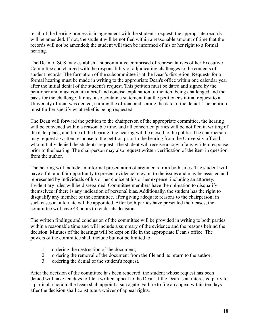result of the hearing process is in agreement with the student's request, the appropriate records will be amended. If not, the student will be notified within a reasonable amount of time that the records will not be amended; the student will then be informed of his or her right to a formal hearing.

The Dean of SCS may establish a subcommittee comprised of representatives of her Executive Committee and charged with the responsibility of adjudicating challenges to the contents of student records. The formation of the subcommittee is at the Dean's discretion. Requests for a formal hearing must be made in writing to the appropriate Dean's office within one calendar year after the initial denial of the student's request. This petition must be dated and signed by the petitioner and must contain a brief and concise explanation of the item being challenged and the basis for the challenge. It must also contain a statement that the petitioner's initial request to a University official was denied, naming the official and stating the date of the denial. The petition must further specify what relief is being requested.

The Dean will forward the petition to the chairperson of the appropriate committee, the hearing will be convened within a reasonable time, and all concerned parties will be notified in writing of the date, place, and time of the hearing; the hearing will be closed to the public. The chairperson may request a written response to the petition prior to the hearing from the University official who initially denied the student's request. The student will receive a copy of any written response prior to the hearing. The chairperson may also request written verification of the item in question from the author.

The hearing will include an informal presentation of arguments from both sides. The student will have a full and fair opportunity to present evidence relevant to the issues and may be assisted and represented by individuals of his or her choice at his or her expense, including an attorney. Evidentiary rules will be disregarded. Committee members have the obligation to disqualify themselves if there is any indication of personal bias. Additionally, the student has the right to disqualify any member of the committee, after giving adequate reasons to the chairperson; in such cases an alternate will be appointed. After both parties have presented their cases, the committee will have 48 hours to render its decision.

The written findings and conclusion of the committee will be provided in writing to both parties within a reasonable time and will include a summary of the evidence and the reasons behind the decision. Minutes of the hearings will be kept on file in the appropriate Dean's office. The powers of the committee shall include but not be limited to:

- 1. ordering the destruction of the document;
- 2. ordering the removal of the document from the file and its return to the author;
- 3. ordering the denial of the student's request.

After the decision of the committee has been rendered, the student whose request has been denied will have ten days to file a written appeal to the Dean. If the Dean is an interested party to a particular action, the Dean shall appoint a surrogate. Failure to file an appeal within ten days after the decision shall constitute a waiver of appeal rights.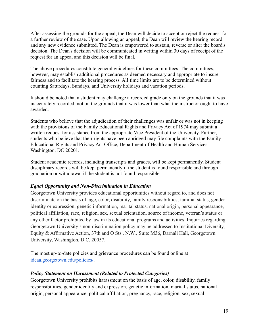After assessing the grounds for the appeal, the Dean will decide to accept or reject the request for a further review of the case. Upon allowing an appeal, the Dean will review the hearing record and any new evidence submitted. The Dean is empowered to sustain, reverse or alter the board's decision. The Dean's decision will be communicated in writing within 30 days of receipt of the request for an appeal and this decision will be final.

The above procedures constitute general guidelines for these committees. The committees, however, may establish additional procedures as deemed necessary and appropriate to insure fairness and to facilitate the hearing process. All time limits are to be determined without counting Saturdays, Sundays, and University holidays and vacation periods.

It should be noted that a student may challenge a recorded grade only on the grounds that it was inaccurately recorded, not on the grounds that it was lower than what the instructor ought to have awarded.

Students who believe that the adjudication of their challenges was unfair or was not in keeping with the provisions of the Family Educational Rights and Privacy Act of 1974 may submit a written request for assistance from the appropriate Vice President of the University. Further, students who believe that their rights have been abridged may file complaints with the Family Educational Rights and Privacy Act Office, Department of Health and Human Services, Washington, DC 20201.

Student academic records, including transcripts and grades, will be kept permanently. Student disciplinary records will be kept permanently if the student is found responsible and through graduation or withdrawal if the student is not found responsible.

### <span id="page-18-0"></span>*Equal Opportunity and Non-Discrimination in Education*

Georgetown University provides educational opportunities without regard to, and does not discriminate on the basis of, age, color, disability, family responsibilities, familial status, gender identity or expression, genetic information, marital status, national origin, personal appearance, political affiliation, race, religion, sex, sexual orientation, source of income, veteran's status or any other factor prohibited by law in its educational programs and activities. Inquiries regarding Georgetown University's non-discrimination policy may be addressed to Institutional Diversity, Equity & Affirmative Action, 37th and O Sts., N.W., Suite M36, Darnall Hall, Georgetown University, Washington, D.C. 20057.

The most up-to-date policies and grievance procedures can be found online at [ideaa.georgetown.edu/policies/](http://ideaa.georgetown.edu/policies/).

### <span id="page-18-1"></span>*Policy Statement on Harassment (Related to Protected Categories)*

Georgetown University prohibits harassment on the basis of age, color, disability, family responsibilities, gender identity and expression, genetic information, marital status, national origin, personal appearance, political affiliation, pregnancy, race, religion, sex, sexual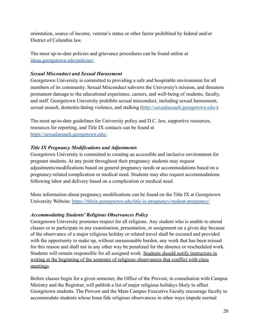orientation, source of income, veteran's status or other factor prohibited by federal and/or District of Columbia law.

The most up-to-date policies and grievance procedures can be found online at [ideaa.georgetown.edu/policies/](http://ideaa.georgetown.edu/policies/).

# <span id="page-19-0"></span>*Sexual Misconduct and Sexual Harassment*

Georgetown University is committed to providing a safe and hospitable environment for all members of its community. Sexual Misconduct subverts the University's mission, and threatens permanent damage to the educational experience, careers, and well-being of students, faculty, and staff. Georgetown University prohibits sexual misconduct, including sexual harassment, sexual assault, domestic/dating violence, and stalking (<http://sexualassault.georgetown.edu/>).

The most up-to-date guidelines for University policy and D.C. law, supportive resources, resources for reporting, and Title IX contacts can be found at [https://sexualassault.georgetown.edu/.](https://sexualassault.georgetown.edu/)

### <span id="page-19-1"></span>*Title IX Pregnancy Modifications and Adjustments*

Georgetown University is committed to creating an accessible and inclusive environment for pregnant students. At any point throughout their pregnancy students may request adjustments/modifications based on general pregnancy needs or accommodations based on a pregnancy-related complication or medical need. Students may also request accommodations following labor and delivery based on a complication or medical need.

More information about pregnancy modifications can be found on the Title IX at Georgetown University Website: <https://titleix.georgetown.edu/title-ix-pregnancy/student-pregnancy/>

# <span id="page-19-2"></span>*Accommodating Students' Religious Observances Policy*

Georgetown University promotes respect for all religions. Any student who is unable to attend classes or to participate in any examination, presentation, or assignment on a given day because of the observance of a major religious holiday or related travel shall be excused and provided with the opportunity to make up, without unreasonable burden, any work that has been missed for this reason and shall not in any other way be penalized for the absence or rescheduled work. Students will remain responsible for all assigned work. Students should notify instructors in writing at the beginning of the semester of religious observances that conflict with class meetings.

Before classes begin for a given semester, the Office of the Provost, in consultation with Campus Ministry and the Registrar, will publish a list of major religious holidays likely to affect Georgetown students. The Provost and the Main Campus Executive Faculty encourage faculty to accommodate students whose bona fide religious observances in other ways impede normal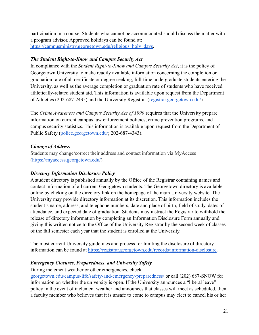participation in a course. Students who cannot be accommodated should discuss the matter with a program advisor. Approved holidays can be found at[:](https://campusministry.georgetown.edu/religious_holy_days) https://campusministry.georgetown.edu/religious holy days.

# <span id="page-20-0"></span>*The Student Right-to-Know and Campus Security Act*

In compliance with the *Student Right-to-Know and Campus Security Act*, it is the policy of Georgetown University to make readily available information concerning the completion or graduation rate of all certificate or degree-seeking, full-time undergraduate students entering the University, as well as the average completion or graduation rate of students who have received athletically-related student aid. This information is available upon request from the Department of Athletics (202-687-2435) and the University Registrar ([registrar.georgetown.edu/](http://registrar.georgetown.edu/)).

The *Crime Awareness and Campus Security Act of 1990* requires that the University prepare information on current campus law enforcement policies, crime prevention programs, and campus security statistics. This information is available upon request from the Department of Public Safety [\(police.georgetown.edu/;](http://police.georgetown.edu/) 202-687-4343).

### <span id="page-20-1"></span>*Change of Address*

Students may change/correct their address and contact information via MyAccess (<https://myaccess.georgetown.edu/>).

# <span id="page-20-2"></span>*Directory Information Disclosure Policy*

A student directory is published annually by the Office of the Registrar containing names and contact information of all current Georgetown students. The Georgetown directory is available online by clicking on the directory link on the homepage of the main University website. The University may provide directory information at its discretion. This information includes the student's name, address, and telephone numbers, date and place of birth, field of study, dates of attendance, and expected date of graduation. Students may instruct the Registrar to withhold the release of directory information by completing an Information Disclosure Form annually and giving this written notice to the Office of the University Registrar by the second week of classes of the fall semester each year that the student is enrolled at the University.

The most current University guidelines and process for limiting the disclosure of directory information can be found at [https://registrar.georgetown.edu/records/information-disclosure.](https://registrar.georgetown.edu/records/information-disclosure)

# <span id="page-20-3"></span>*Emergency Closures, Preparedness, and University Safety*

During inclement weather or other emergencies, check

[georgetown.edu/campus-life/safety-and-emergency-preparedness/](http://preparedness.georgetown.edu/) or call (202) 687-SNOW for information on whether the university is open. If the University announces a "liberal leave" policy in the event of inclement weather and announces that classes will meet as scheduled, then a faculty member who believes that it is unsafe to come to campus may elect to cancel his or her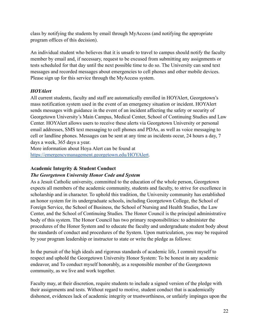class by notifying the students by email through MyAccess (and notifying the appropriate program offices of this decision).

An individual student who believes that it is unsafe to travel to campus should notify the faculty member by email and, if necessary, request to be excused from submitting any assignments or tests scheduled for that day until the next possible time to do so. The University can send text messages and recorded messages about emergencies to cell phones and other mobile devices. Please sign up for this service through the MyAccess system.

# <span id="page-21-0"></span>*HOYAler[t](https://emergencymanagement.georgetown.edu/HOYAlert)*

All current students, faculty and staff are automatically enrolled in HOYAlert, Georgetown's mass notification system used in the event of an emergency situation or incident. HOYAlert sends messages with guidance in the event of an incident affecting the safety or security of Georgetown University's Main Campus, Medical Center, School of Continuing Studies and Law Center. HOYAlert allows users to receive these alerts via Georgetown University or personal email addresses, SMS text messaging to cell phones and PDAs, as well as voice messaging to cell or landline phones. Messages can be sent at any time as incidents occur, 24 hours a day, 7 days a week, 365 days a year.

More information about Hoya Alert can be found at <https://emergencymanagement.georgetown.edu/HOYAlert>.

# <span id="page-21-1"></span>**Academic Integrity & Student Conduct**

# <span id="page-21-2"></span>*The Georgetown University Honor Code and System*

As a Jesuit Catholic university, committed to the education of the whole person, Georgetown expects all members of the academic community, students and faculty, to strive for excellence in scholarship and in character. To uphold this tradition, the University community has established an honor system for its undergraduate schools, including Georgetown College, the School of Foreign Service, the School of Business, the School of Nursing and Health Studies, the Law Center, and the School of Continuing Studies. The Honor Council is the principal administrative body of this system. The Honor Council has two primary responsibilities: to administer the procedures of the Honor System and to educate the faculty and undergraduate student body about the standards of conduct and procedures of the System. Upon matriculation, you may be required by your program leadership or instructor to state or write the pledge as follows:

In the pursuit of the high ideals and rigorous standards of academic life, I commit myself to respect and uphold the Georgetown University Honor System: To be honest in any academic endeavor, and To conduct myself honorably, as a responsible member of the Georgetown community, as we live and work together.

Faculty may, at their discretion, require students to include a signed version of the pledge with their assignments and tests. Without regard to motive, student conduct that is academically dishonest, evidences lack of academic integrity or trustworthiness, or unfairly impinges upon the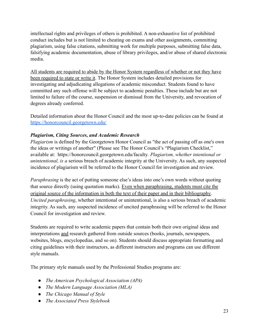intellectual rights and privileges of others is prohibited. A non-exhaustive list of prohibited conduct includes but is not limited to cheating on exams and other assignments, committing plagiarism, using false citations, submitting work for multiple purposes, submitting false data, falsifying academic documentation, abuse of library privileges, and/or abuse of shared electronic media.

All students are required to abide by the Honor System regardless of whether or not they have been required to state or write it. The Honor System includes detailed provisions for investigating and adjudicating allegations of academic misconduct. Students found to have committed any such offense will be subject to academic penalties. These include but are not limited to failure of the course, suspension or dismissal from the University, and revocation of degrees already conferred.

Detailed information about the Honor Council and the most up-to-date policies can be found at <https://honorcouncil.georgetown.edu/>

# <span id="page-22-0"></span>*Plagiarism, Citing Sources, and Academic Research*

*Plagiarism* is defined by the Georgetown Honor Council as "the act of passing off as one's own the ideas or writings of another" (Please see The Honor Council's "Plagiarism Checklist," available at: https://honorcouncil.georgetown.edu/faculty*. Plagiarism, whether intentional or unintentional, is a* serious breach of academic integrity at the University. As such, any suspected incidence of plagiarism will be referred to the Honor Council for investigation and review.

*Paraphrasing* is the act of putting someone else's ideas into one's own words without quoting that source directly (using quotation marks). Even when paraphrasing, students must cite the original source of the information in both the text of their paper and in their bibliography. *Uncited paraphrasing*, whether intentional or unintentional, is also a serious breach of academic integrity. As such, any suspected incidence of uncited paraphrasing will be referred to the Honor Council for investigation and review.

Students are required to write academic papers that contain both their own original ideas and interpretations and research gathered from outside sources (books, journals, newspapers, websites, blogs, encyclopedias, and so on). Students should discuss appropriate formatting and citing guidelines with their instructors, as different instructors and programs can use different style manuals.

The primary style manuals used by the Professional Studies programs are:

- *The American Psychological Association (APA)*
- *The Modern Language Association (MLA)*
- *The Chicago Manual of Style*
- *The Associated Press Stylebook*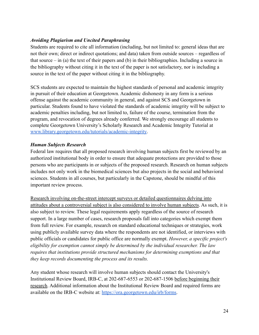# <span id="page-23-0"></span>*Avoiding Plagiarism and Uncited Paraphrasing*

Students are required to cite all information (including, but not limited to: general ideas that are not their own; direct or indirect quotations; and data) taken from outside sources – regardless of that source  $-$  in (a) the text of their papers and (b) in their bibliographies. Including a source in the bibliography without citing it in the text of the paper is not satisfactory, nor is including a source in the text of the paper without citing it in the bibliography.

SCS students are expected to maintain the highest standards of personal and academic integrity in pursuit of their education at Georgetown. Academic dishonesty in any form is a serious offense against the academic community in general, and against SCS and Georgetown in particular. Students found to have violated the standards of academic integrity will be subject to academic penalties including, but not limited to, failure of the course, termination from the program, and revocation of degrees already conferred. We strongly encourage all students to complete Georgetown University's Scholarly Research and Academic Integrity Tutorial at [www.library.georgetown.edu/tutorials/academic-integrity](http://www.library.georgetown.edu/tutorials/academic-integrity).

# <span id="page-23-1"></span>*Human Subjects Research*

Federal law requires that all proposed research involving human subjects first be reviewed by an authorized institutional body in order to ensure that adequate protections are provided to those persons who are participants in or subjects of the proposed research. Research on human subjects includes not only work in the biomedical sciences but also projects in the social and behavioral sciences. Students in all courses, but particularly in the Capstone, should be mindful of this important review process.

Research involving on-the-street intercept surveys or detailed questionnaires delving into attitudes about a controversial subject is also considered to involve human subjects. As such, it is also subject to review. These legal requirements apply regardless of the source of research support. In a large number of cases, research proposals fall into categories which exempt them from full review. For example, research on standard educational techniques or strategies, work using publicly available survey data where the respondents are not identified, or interviews with public officials or candidates for public office are normally exempt. *However, a specific project's eligibility for exemption cannot simply be determined by the individual researcher. The law requires that institutions provide structured mechanisms for determining exemptions and that they keep records documenting the process and its results.*

Any student whose research will involve human subjects should contact the University's Institutional Review Board, IRB-C, at 202-687-6553 or 202-687-1506 before beginning their research. Additional information about the Institutional Review Board and required forms are available on the IRB-C website at: <https://ora.georgetown.edu/irb/forms>.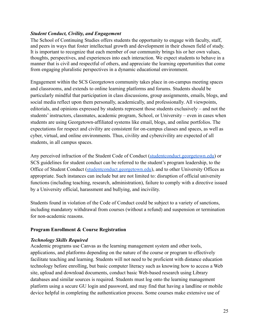### <span id="page-24-0"></span>*Student Conduct, Civility, and Engagement*

The School of Continuing Studies offers students the opportunity to engage with faculty, staff, and peers in ways that foster intellectual growth and development in their chosen field of study. It is important to recognize that each member of our community brings his or her own values, thoughts, perspectives, and experiences into each interaction. We expect students to behave in a manner that is civil and respectful of others, and appreciate the learning opportunities that come from engaging pluralistic perspectives in a dynamic educational environment.

Engagement within the SCS Georgetown community takes place in on-campus meeting spaces and classrooms, and extends to online learning platforms and forums. Students should be particularly mindful that participation in class discussions, group assignments, emails, blogs, and social media reflect upon them personally, academically, and professionally. All viewpoints, editorials, and opinions expressed by students represent those students exclusively – and not the students' instructors, classmates, academic program, School, or University – even in cases when students are using Georgetown-affiliated systems like email, blogs, and online portfolios. The expectations for respect and civility are consistent for on-campus classes and spaces, as well as cyber, virtual, and online environments. Thus, civility and cybercivility are expected of all students, in all campus spaces.

Any perceived infraction of the Student Code of Conduct [\(studentconduct.georgetown.edu\)](https://studentconduct.georgetown.edu/) or SCS guidelines for student conduct can be referred to the student's program leadership, to the Office of Student Conduct ([studentconduct.georgetown.edu](https://studentconduct.georgetown.edu/)), and to other University Offices as appropriate. Such instances can include but are not limited to: disruption of official university functions (including teaching, research, administration), failure to comply with a directive issued by a University official, harassment and bullying, and incivility.

Students found in violation of the Code of Conduct could be subject to a variety of sanctions, including mandatory withdrawal from courses (without a refund) and suspension or termination for non-academic reasons.

### <span id="page-24-1"></span>**Program Enrollment & Course Registration**

### <span id="page-24-2"></span>*Technology Skills Required*

Academic programs use Canvas as the learning management system and other tools, applications, and platforms depending on the nature of the course or program to effectively facilitate teaching and learning. Students will not need to be proficient with distance education technology before enrolling, but basic computer literacy such as knowing how to access a Web site, upload and download documents, conduct basic Web-based research using Library databases and similar sources is required. Students must log onto the learning management platform using a secure GU login and password, and may find that having a landline or mobile device helpful in completing the authentication process. Some courses make extensive use of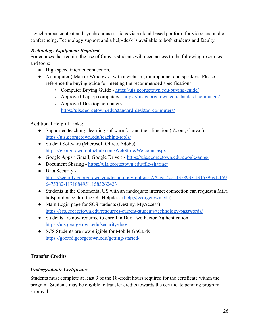asynchronous content and synchronous sessions via a cloud-based platform for video and audio conferencing. Technology support and a help-desk is available to both students and faculty.

# <span id="page-25-0"></span>*Technology Equipment Required*

For courses that require the use of Canvas students will need access to the following resources and tools:

- High speed internet connection.
- A computer ( Mac or Windows ) with a webcam, microphone, and speakers. Please reference the buying guide for meeting the recommended specifications.
	- Computer Buying Guide <https://uis.georgetown.edu/buying-guide/>
	- Approved Laptop computers <https://uis.georgetown.edu/standard-computers/>
	- Approved Desktop computers <https://uis.georgetown.edu/standard-desktop-computers/>

# Additional Helpful Links:

- Supported teaching | learning software for and their function ( Zoom, Canvas) <https://uis.georgetown.edu/teaching-tools/>
- Student Software (Microsoft Office, Adobe) <https://georgetown.onthehub.com/WebStore/Welcome.aspx>
- Google Apps ( Gmail, Google Drive ) <https://uis.georgetown.edu/google-apps/>
- Document Sharing <https://uis.georgetown.edu/file-sharing/>
- Data Security [https://security.georgetown.edu/technology-policies2/#\\_ga=2.211358933.131539691.159](https://security.georgetown.edu/technology-policies2/#_ga=2.211358933.131539691.1596475382-1171884951.1583262423) [6475382-1171884951.1583262423](https://security.georgetown.edu/technology-policies2/#_ga=2.211358933.131539691.1596475382-1171884951.1583262423)
- Students in the Continental US with an inadequate internet connection can request a MiFi hotspot device thru the GU Helpdesk (help@georgetown.edu)
- Main Login page for SCS students (Destiny, MyAccess) <https://scs.georgetown.edu/resources-current-students/technology-passwords/>
- Students are now required to enroll in Duo Two Factor Authentication <https://uis.georgetown.edu/security/duo/>
- SCS Students are now eligible for Mobile GoCards <https://gocard.georgetown.edu/getting-started/>

# <span id="page-25-2"></span><span id="page-25-1"></span>**Transfer Credits**

# *Undergraduate Certificates*

Students must complete at least 9 of the 18-credit hours required for the certificate within the program. Students may be eligible to transfer credits towards the certificate pending program approval.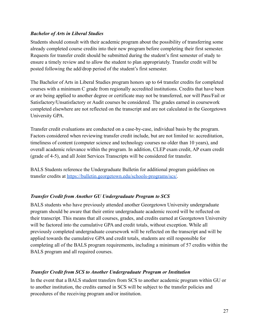# <span id="page-26-0"></span>*Bachelor of Arts in Liberal Studies*

Students should consult with their academic program about the possibility of transferring some already completed course credits into their new program before completing their first semester. Requests for transfer credit should be submitted during the student's first semester of study to ensure a timely review and to allow the student to plan appropriately. Transfer credit will be posted following the add/drop period of the student's first semester.

The Bachelor of Arts in Liberal Studies program honors up to 64 transfer credits for completed courses with a minimum C grade from regionally accredited institutions. Credits that have been or are being applied to another degree or certificate may not be transferred, nor will Pass/Fail or Satisfactory/Unsatisfactory or Audit courses be considered. The grades earned in coursework completed elsewhere are not reflected on the transcript and are not calculated in the Georgetown University GPA.

Transfer credit evaluations are conducted on a case-by-case, individual basis by the program. Factors considered when reviewing transfer credit include, but are not limited to: accreditation, timeliness of content (computer science and technology courses no older than 10 years), and overall academic relevance within the program. In addition, CLEP exam credit, AP exam credit (grade of 4-5), and all Joint Services Transcripts will be considered for transfer.

BALS Students reference the Undergraduate Bulletin for additional program guidelines on transfer credits at <https://bulletin.georgetown.edu/schools-programs/scs/>.

# <span id="page-26-1"></span>*Transfer Credit from Another GU Undergraduate Program to SCS*

BALS students who have previously attended another Georgetown University undergraduate program should be aware that their entire undergraduate academic record will be reflected on their transcript. This means that all courses, grades, and credits earned at Georgetown University will be factored into the cumulative GPA and credit totals, without exception. While all previously completed undergraduate coursework will be reflected on the transcript and will be applied towards the cumulative GPA and credit totals, students are still responsible for completing all of the BALS program requirements, including a minimum of 57 credits within the BALS program and all required courses.

### <span id="page-26-2"></span>*Transfer Credit from SCS to Another Undergraduate Program or Institution*

In the event that a BALS student transfers from SCS to another academic program within GU or to another institution, the credits earned in SCS will be subject to the transfer policies and procedures of the receiving program and/or institution.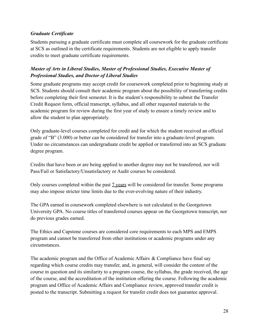# <span id="page-27-0"></span>*Graduate Certificate*

Students pursuing a graduate certificate must complete all coursework for the graduate certificate at SCS as outlined in the certificate requirements. Students are not eligible to apply transfer credits to meet graduate certificate requirements.

# <span id="page-27-1"></span>*Master of Arts in Liberal Studies, Master of Professional Studies, Executive Master of Professional Studies, and Doctor of Liberal Studies*

Some graduate programs may accept credit for coursework completed prior to beginning study at SCS. Students should consult their academic program about the possibility of transferring credits before completing their first semester. It is the student's responsibility to submit the Transfer Credit Request form, official transcript, syllabus, and all other requested materials to the academic program for review during the first year of study to ensure a timely review and to allow the student to plan appropriately.

Only graduate-level courses completed for credit and for which the student received an official grade of "B" (3.000) or better can be considered for transfer into a graduate-level program. Under no circumstances can undergraduate credit be applied or transferred into an SCS graduate degree program.

Credits that have been or are being applied to another degree may not be transferred, nor will Pass/Fail or Satisfactory/Unsatisfactory or Audit courses be considered.

Only courses completed within the past 7 years will be considered for transfer. Some programs may also impose stricter time limits due to the ever-evolving nature of their industry.

The GPA earned in coursework completed elsewhere is not calculated in the Georgetown University GPA. No course titles of transferred courses appear on the Georgetown transcript, nor do previous grades earned.

The Ethics and Capstone courses are considered core requirements to each MPS and EMPS program and cannot be transferred from other institutions or academic programs under any circumstances.

The academic program and the Office of Academic Affairs & Compliance have final say regarding which course credits may transfer, and, in general, will consider the content of the course in question and its similarity to a program course, the syllabus, the grade received, the age of the course, and the accreditation of the institution offering the course. Following the academic program and Office of Academic Affairs and Compliance review, approved transfer credit is posted to the transcript. Submitting a request for transfer credit does not guarantee approval.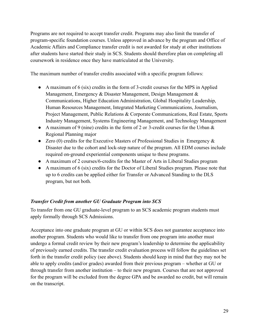Programs are not required to accept transfer credit. Programs may also limit the transfer of program-specific foundation courses. Unless approved in advance by the program and Office of Academic Affairs and Compliance transfer credit is not awarded for study at other institutions after students have started their study in SCS. Students should therefore plan on completing all coursework in residence once they have matriculated at the University.

The maximum number of transfer credits associated with a specific program follows:

- A maximum of 6 (six) credits in the form of 3-credit courses for the MPS in Applied Management, Emergency & Disaster Management, Design Management & Communications, Higher Education Administration, Global Hospitality Leadership, Human Resources Management, Integrated Marketing Communications, Journalism, Project Management, Public Relations & Corporate Communications, Real Estate, Sports Industry Management, Systems Engineering Management, and Technology Management
- A maximum of 9 (nine) credits in the form of 2 or 3-credit courses for the Urban & Regional Planning major
- Zero (0) credits for the Executive Masters of Professional Studies in Emergency  $\&$ Disaster due to the cohort and lock-step nature of the program. All EDM courses include required on-ground experiential components unique to these programs.
- A maximum of 2 courses/6-credits for the Master of Arts in Liberal Studies program
- A maximum of 6 (six) credits for the Doctor of Liberal Studies program. Please note that up to 6 credits can be applied either for Transfer or Advanced Standing to the DLS program, but not both.

# <span id="page-28-0"></span>*Transfer Credit from another GU Graduate Program into SCS*

To transfer from one GU graduate-level program to an SCS academic program students must apply formally through SCS Admissions.

Acceptance into one graduate program at GU or within SCS does not guarantee acceptance into another program. Students who would like to transfer from one program into another must undergo a formal credit review by their new program's leadership to determine the applicability of previously earned credits. The transfer credit evaluation process will follow the guidelines set forth in the transfer credit policy (see above). Students should keep in mind that they may not be able to apply credits (and/or grades) awarded from their previous program – whether at GU or through transfer from another institution – to their new program. Courses that are not approved for the program will be excluded from the degree GPA and be awarded no credit, but will remain on the transcript.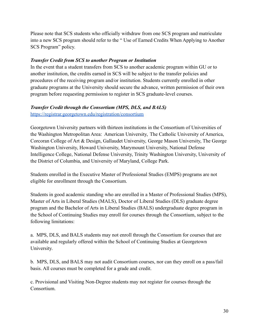Please note that SCS students who officially withdraw from one SCS program and matriculate into a new SCS program should refer to the " Use of Earned Credits When Applying to Another SCS Program" policy.

### <span id="page-29-0"></span>*Transfer Credit from SCS to another Program or Institution*

In the event that a student transfers from SCS to another academic program within GU or to another institution, the credits earned in SCS will be subject to the transfer policies and procedures of the receiving program and/or institution. Students currently enrolled in other graduate programs at the University should secure the advance, written permission of their own program before requesting permission to register in SCS graduate-level courses.

### <span id="page-29-1"></span>*Transfer Credit through the Consortium (MPS, DLS, and BALS)*

<https://registrar.georgetown.edu/registration/consortium>

Georgetown University partners with thirteen institutions in the Consortium of Universities of the Washington Metropolitan Area: American University, The Catholic University of America, Corcoran College of Art & Design, Gallaudet University, George Mason University, The George Washington University, Howard University, Marymount University, National Defense Intelligence College, National Defense University, Trinity Washington University, University of the District of Columbia, and University of Maryland, College Park.

Students enrolled in the Executive Master of Professional Studies (EMPS) programs are not eligible for enrollment through the Consortium.

Students in good academic standing who are enrolled in a Master of Professional Studies (MPS), Master of Arts in Liberal Studies (MALS), Doctor of Liberal Studies (DLS) graduate degree program and the Bachelor of Arts in Liberal Studies (BALS) undergraduate degree program in the School of Continuing Studies may enroll for courses through the Consortium, subject to the following limitations:

a. MPS, DLS, and BALS students may not enroll through the Consortium for courses that are available and regularly offered within the School of Continuing Studies at Georgetown University.

b. MPS, DLS, and BALS may not audit Consortium courses, nor can they enroll on a pass/fail basis. All courses must be completed for a grade and credit.

c. Provisional and Visiting Non-Degree students may not register for courses through the Consortium.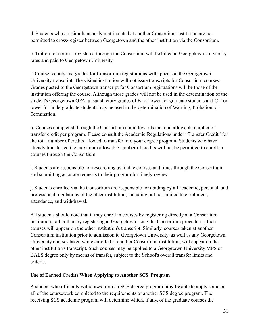d. Students who are simultaneously matriculated at another Consortium institution are not permitted to cross-register between Georgetown and the other institution via the Consortium.

e. Tuition for courses registered through the Consortium will be billed at Georgetown University rates and paid to Georgetown University.

f. Course records and grades for Consortium registrations will appear on the Georgetown University transcript. The visited institution will not issue transcripts for Consortium courses. Grades posted to the Georgetown transcript for Consortium registrations will be those of the institution offering the course. Although those grades will not be used in the determination of the student's Georgetown GPA, unsatisfactory grades of B- or lower for graduate students and C-" or lower for undergraduate students may be used in the determination of Warning, Probation, or **Termination** 

h. Courses completed through the Consortium count towards the total allowable number of transfer credit per program. Please consult the Academic Regulations under "Transfer Credit" for the total number of credits allowed to transfer into your degree program. Students who have already transferred the maximum allowable number of credits will not be permitted to enroll in courses through the Consortium.

i. Students are responsible for researching available courses and times through the Consortium and submitting accurate requests to their program for timely review.

j. Students enrolled via the Consortium are responsible for abiding by all academic, personal, and professional regulations of the other institution, including but not limited to enrollment, attendance, and withdrawal.

All students should note that if they enroll in courses by registering directly at a Consortium institution, rather than by registering at Georgetown using the Consortium procedures, those courses will appear on the other institution's transcript. Similarly, courses taken at another Consortium institution prior to admission to Georgetown University, as well as any Georgetown University courses taken while enrolled at another Consortium institution, will appear on the other institution's transcript. Such courses may be applied to a Georgetown University MPS or BALS degree only by means of transfer, subject to the School's overall transfer limits and criteria.

### <span id="page-30-0"></span>**Use of Earned Credits When Applying to Another SCS Program**

A student who officially withdraws from an SCS degree program **may be** able to apply some or all of the coursework completed to the requirements of another SCS degree program. The receiving SCS academic program will determine which, if any, of the graduate courses the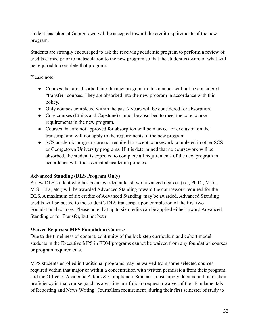student has taken at Georgetown will be accepted toward the credit requirements of the new program.

Students are strongly encouraged to ask the receiving academic program to perform a review of credits earned prior to matriculation to the new program so that the student is aware of what will be required to complete that program.

# Please note:

- Courses that are absorbed into the new program in this manner will not be considered "transfer" courses. They are absorbed into the new program in accordance with this policy.
- Only courses completed within the past 7 years will be considered for absorption.
- Core courses (Ethics and Capstone) cannot be absorbed to meet the core course requirements in the new program.
- Courses that are not approved for absorption will be marked for exclusion on the transcript and will not apply to the requirements of the new program.
- SCS academic programs are not required to accept coursework completed in other SCS or Georgetown University programs. If it is determined that no coursework will be absorbed, the student is expected to complete all requirements of the new program in accordance with the associated academic policies.

# <span id="page-31-0"></span>**Advanced Standing (DLS Program Only)**

A new DLS student who has been awarded at least two advanced degrees (i.e., Ph.D., M.A., M.S., J.D., etc.) will be awarded Advanced Standing toward the coursework required for the DLS. A maximum of six credits of Advanced Standing may be awarded. Advanced Standing credits will be posted to the student's DLS transcript upon completion of the first two Foundational courses. Please note that up to six credits can be applied either toward Advanced Standing or for Transfer, but not both.

# <span id="page-31-1"></span>**Waiver Requests: MPS Foundation Courses**

Due to the timeliness of content, continuity of the lock-step curriculum and cohort model, students in the Executive MPS in EDM programs cannot be waived from any foundation courses or program requirements.

MPS students enrolled in traditional programs may be waived from some selected courses required within that major or within a concentration with written permission from their program and the Office of Academic Affairs & Compliance. Students must supply documentation of their proficiency in that course (such as a writing portfolio to request a waiver of the "Fundamentals of Reporting and News Writing" Journalism requirement) during their first semester of study to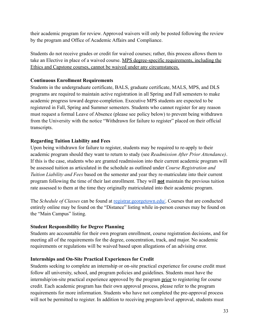their academic program for review. Approved waivers will only be posted following the review by the program and Office of Academic Affairs and Compliance.

Students do not receive grades or credit for waived courses; rather, this process allows them to take an Elective in place of a waived course. MPS degree-specific requirements, including the Ethics and Capstone courses, cannot be waived under any circumstances.

# <span id="page-32-0"></span>**Continuous Enrollment Requirements**

Students in the undergraduate certificate, BALS, graduate certificate, MALS, MPS, and DLS programs are required to maintain active registration in all Spring and Fall semesters to make academic progress toward degree-completion. Executive MPS students are expected to be registered in Fall, Spring and Summer semesters. Students who cannot register for any reason must request a formal Leave of Absence (please see policy below) to prevent being withdrawn from the University with the notice "Withdrawn for failure to register" placed on their official transcripts.

# **Regarding Tuition Liability and Fees**

Upon being withdrawn for failure to register, students may be required to re-apply to their academic program should they want to return to study (see *Readmission After Prior Attendance)*. If this is the case, students who are granted readmission into their current academic program will be assessed tuition as articulated in the schedule as outlined under *Course Registration and Tuition Liability and Fees* based on the semester and year they re-matriculate into their current program following the time of their last enrollment. They will **not** maintain the previous tuition rate assessed to them at the time they originally matriculated into their academic program.

The *Schedule of Classes* can be found at [registrar.georgetown.edu/](http://registrar.georgetown.edu/). Courses that are conducted entirely online may be found on the "Distance" listing while in-person courses may be found on the "Main Campus" listing.

# <span id="page-32-1"></span>**Student Responsibility for Degree Planning**

Students are accountable for their own program enrollment, course registration decisions, and for meeting all of the requirements for the degree, concentration, track, and major. No academic requirements or regulations will be waived based upon allegations of an advising error.

# <span id="page-32-2"></span>**Internships and On-Site Practical Experiences for Credit**

Students seeking to complete an internship or on-site practical experience for course credit must follow all university, school, and program policies and guidelines. Students must have the internship/on-site practical experience approved by the program prior to registering for course credit. Each academic program has their own approval process, please refer to the program requirements for more information. Students who have not completed the pre-approval process will not be permitted to register. In addition to receiving program-level approval, students must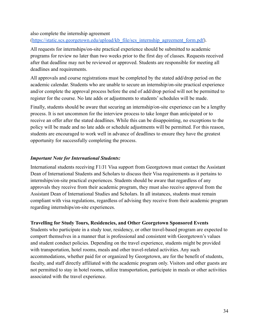also complete the internship agreement ([https://static.scs.georgetown.edu/upload/kb\\_file/scs\\_internship\\_agreement\\_form.pdf\)](https://static.scs.georgetown.edu/upload/kb_file/scs_internship_agreement_form.pdf).

All requests for internships/on-site practical experience should be submitted to academic programs for review no later than two weeks prior to the first day of classes. Requests received after that deadline may not be reviewed or approved. Students are responsible for meeting all deadlines and requirements.

All approvals and course registrations must be completed by the stated add/drop period on the academic calendar. Students who are unable to secure an internship/on-site practical experience and/or complete the approval process before the end of add/drop period will not be permitted to register for the course. No late adds or adjustments to students' schedules will be made.

Finally, students should be aware that securing an internship/on-site experience can be a lengthy process. It is not uncommon for the interview process to take longer than anticipated or to receive an offer after the stated deadlines. While this can be disappointing, no exceptions to the policy will be made and no late adds or schedule adjustments will be permitted. For this reason, students are encouraged to work well in advance of deadlines to ensure they have the greatest opportunity for successfully completing the process.

### *Important Note for International Students:*

International students receiving F1/J1 Visa support from Georgetown must contact the Assistant Dean of International Students and Scholars to discuss their Visa requirements as it pertains to internships/on-site practical experiences. Students should be aware that regardless of any approvals they receive from their academic program, they must also receive approval from the Assistant Dean of International Studies and Scholars. In all instances, students must remain compliant with visa regulations, regardless of advising they receive from their academic program regarding internships/on-site experiences.

### <span id="page-33-0"></span>**Travelling for Study Tours, Residencies, and Other Georgetown Sponsored Events**

Students who participate in a study tour, residency, or other travel-based program are expected to comport themselves in a manner that is professional and consistent with Georgetown's values and student conduct policies. Depending on the travel experience, students might be provided with transportation, hotel rooms, meals and other travel-related activities. Any such accommodations, whether paid for or organized by Georgetown, are for the benefit of students, faculty, and staff directly affiliated with the academic program only. Visitors and other guests are not permitted to stay in hotel rooms, utilize transportation, participate in meals or other activities associated with the travel experience.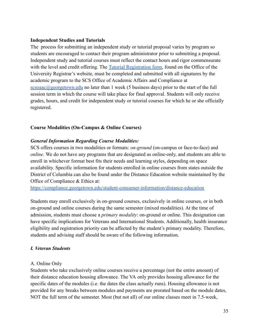#### <span id="page-34-0"></span>**Independent Studies and Tutorials**

The process for submitting an independent study or tutorial proposal varies by program so students are encouraged to contact their program administrator prior to submitting a proposal. Independent study and tutorial courses must reflect the contact hours and rigor commensurate with the level and credit offering. The **[Tutorial Registration](https://registrar.georgetown.edu/forms) form**, found on the Office of the University Registrar's website, must be completed and submitted with all signatures by the academic program to the SCS Office of Academic Affairs and Compliance at  $scsoaac@georgetown.edu$  no later than 1 week (5 business days) prior to the start of the full session term in which the course will take place for final approval. Students will only receive grades, hours, and credit for independent study or tutorial courses for which he or she officially registered.

### <span id="page-34-1"></span>**Course Modalities (On-Campus & Online Courses)**

### *General Information Regarding Course Modalities:*

SCS offers courses in two modalities or formats: *on-ground* (on-campus or face-to-face) and *online*. We do not have any programs that are designated as online-only, and students are able to enroll in whichever format best fits their needs and learning styles, depending on space availability. Specific information for students enrolled in online courses from states outside the District of Columbia can also be found under the Distance Education website maintained by the Office of Compliance & Ethics at:

<https://compliance.georgetown.edu/student-consumer-information/distance-education>

Students may enroll exclusively in on-ground courses, exclusively in online courses, or in both on-ground and online courses during the same semester (mixed modalities). At the time of admission, students must choose a *primary modality*: on-ground or online. This designation can have specific implications for Veterans and International Students. Additionally, health insurance eligibility and registration priority can be affected by the student's primary modality. Therefore, students and advising staff should be aware of the following information.

# <span id="page-34-2"></span>*I. Veteran Students*

### A. Online Only

Students who take exclusively online courses receive a percentage (not the entire amount) of their distance education housing allowance. The VA only provides housing allowance for the specific dates of the modules (i.e. the dates the class actually runs). Housing allowance is not provided for any breaks between modules and payments are prorated based on the module dates, NOT the full term of the semester. Most (but not all) of our online classes meet in 7.5-week,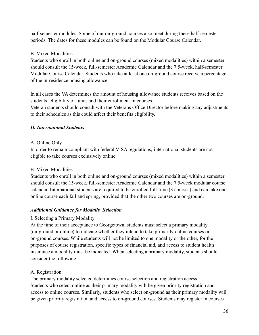half-semester modules. Some of our on-ground courses also meet during these half-semester periods. The dates for these modules can be found on the Modular Course Calendar.

# B. Mixed Modalities

Students who enroll in both online and on-ground courses (mixed modalities) within a semester should consult the 15-week, full-semester Academic Calendar and the 7.5-week, half-semester Modular Course Calendar. Students who take at least one on-ground course receive a percentage of the in-residence housing allowance.

In all cases the VA determines the amount of housing allowance students receives based on the students' eligibility of funds and their enrollment in courses.

Veteran students should consult with the Veterans Office Director before making any adjustments to their schedules as this could affect their benefits eligibility.

### <span id="page-35-0"></span>*II. International Students*

### A. Online Only

In order to remain compliant with federal VISA regulations, international students are not eligible to take courses exclusively online.

# B. Mixed Modalities

Students who enroll in both online and on-ground courses (mixed modalities) within a semester should consult the 15-week, full-semester Academic Calendar and the 7.5-week modular course calendar. International students are required to be enrolled full-time (3 courses) and can take one online course each fall and spring, provided that the other two courses are on-ground.

# <span id="page-35-1"></span>*Additional Guidance for Modality Selection*

# I. Selecting a Primary Modality

At the time of their acceptance to Georgetown, students must select a primary modality (on-ground or online) to indicate whether they intend to take primarily online courses or on-ground courses. While students will not be limited to one modality or the other, for the purposes of course registration, specific types of financial aid, and access to student health insurance a modality must be indicated. When selecting a primary modality, students should consider the following:

# A. Registration

The primary modality selected determines course selection and registration access. Students who select online as their primary modality will be given priority registration and access to online courses. Similarly, students who select on-ground as their primary modality will be given priority registration and access to on-ground courses. Students may register in courses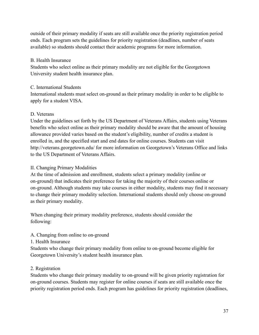outside of their primary modality if seats are still available once the priority registration period ends. Each program sets the guidelines for priority registration (deadlines, number of seats available) so students should contact their academic programs for more information.

## B. Health Insurance

Students who select online as their primary modality are not eligible for the Georgetown University student health insurance plan.

## C. International Students

International students must select on-ground as their primary modality in order to be eligible to apply for a student VISA.

# D. Veterans

Under the guidelines set forth by the US Department of Veterans Affairs, students using Veterans benefits who select online as their primary modality should be aware that the amount of housing allowance provided varies based on the student's eligibility, number of credits a student is enrolled in, and the specified start and end dates for online courses. Students can visit http://veterans.georgetown.edu/ for more information on Georgetown's Veterans Office and links to the US Department of Veterans Affairs.

# II. Changing Primary Modalities

At the time of admission and enrollment, students select a primary modality (online or on-ground) that indicates their preference for taking the majority of their courses online or on-ground. Although students may take courses in either modality, students may find it necessary to change their primary modality selection. International students should only choose on-ground as their primary modality.

When changing their primary modality preference, students should consider the following:

# A. Changing from online to on-ground

1. Health Insurance

Students who change their primary modality from online to on-ground become eligible for Georgetown University's student health insurance plan.

# 2. Registration

Students who change their primary modality to on-ground will be given priority registration for on-ground courses. Students may register for online courses if seats are still available once the priority registration period ends. Each program has guidelines for priority registration (deadlines,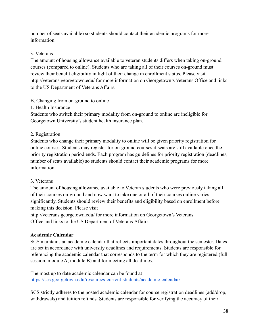number of seats available) so students should contact their academic programs for more information.

# 3. Veterans

The amount of housing allowance available to veteran students differs when taking on-ground courses (compared to online). Students who are taking all of their courses on-ground must review their benefit eligibility in light of their change in enrollment status. Please visit http://veterans.georgetown.edu/ for more information on Georgetown's Veterans Office and links to the US Department of Veterans Affairs.

# B. Changing from on-ground to online

# 1. Health Insurance

Students who switch their primary modality from on-ground to online are ineligible for Georgetown University's student health insurance plan.

# 2. Registration

Students who change their primary modality to online will be given priority registration for online courses. Students may register for on-ground courses if seats are still available once the priority registration period ends. Each program has guidelines for priority registration (deadlines, number of seats available) so students should contact their academic programs for more information.

# 3. Veterans

The amount of housing allowance available to Veteran students who were previously taking all of their courses on-ground and now want to take one or all of their courses online varies significantly. Students should review their benefits and eligibility based on enrollment before making this decision. Please visit

http://veterans.georgetown.edu/ for more information on Georgetown's Veterans Office and links to the US Department of Veterans Affairs.

# **Academic Calendar**

SCS maintains an academic calendar that reflects important dates throughout the semester. Dates are set in accordance with university deadlines and requirements. Students are responsible for referencing the academic calendar that corresponds to the term for which they are registered (full session, module A, module B) and for meeting all deadlines.

The most up to date academic calendar can be found at <https://scs.georgetown.edu/resources-current-students/academic-calendar/>

SCS strictly adheres to the posted academic calendar for course registration deadlines (add/drop, withdrawals) and tuition refunds. Students are responsible for verifying the accuracy of their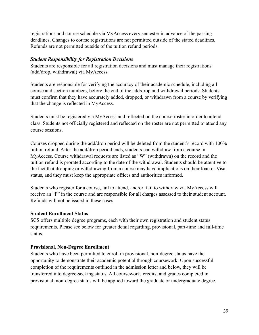registrations and course schedule via MyAccess every semester in advance of the passing deadlines. Changes to course registrations are not permitted outside of the stated deadlines. Refunds are not permitted outside of the tuition refund periods.

#### *Student Responsibility for Registration Decisions*

Students are responsible for all registration decisions and must manage their registrations (add/drop, withdrawal) via MyAccess.

Students are responsible for verifying the accuracy of their academic schedule, including all course and section numbers, before the end of the add/drop and withdrawal periods. Students must confirm that they have accurately added, dropped, or withdrawn from a course by verifying that the change is reflected in MyAccess.

Students must be registered via MyAccess and reflected on the course roster in order to attend class. Students not officially registered and reflected on the roster are not permitted to attend any course sessions.

Courses dropped during the add/drop period will be deleted from the student's record with 100% tuition refund. After the add/drop period ends, students can withdraw from a course in MyAccess. Course withdrawal requests are listed as "W" (withdrawn) on the record and the tuition refund is prorated according to the date of the withdrawal. Students should be attentive to the fact that dropping or withdrawing from a course may have implications on their loan or Visa status, and they must keep the appropriate offices and authorities informed.

Students who register for a course, fail to attend, and/or fail to withdraw via MyAccess will receive an "F" in the course and are responsible for all charges assessed to their student account. Refunds will not be issued in these cases.

#### **Student Enrollment Status**

SCS offers multiple degree programs, each with their own registration and student status requirements. Please see below for greater detail regarding, provisional, part-time and full-time status.

#### **Provisional, Non-Degree Enrollment**

Students who have been permitted to enroll in provisional, non-degree status have the opportunity to demonstrate their academic potential through coursework. Upon successful completion of the requirements outlined in the admission letter and below, they will be transferred into degree-seeking status. All coursework, credits, and grades completed in provisional, non-degree status will be applied toward the graduate or undergraduate degree.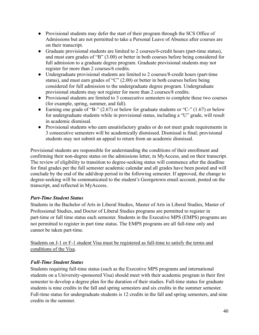- Provisional students may defer the start of their program through the SCS Office of Admissions but are not permitted to take a Personal Leave of Absence after courses are on their transcript.
- Graduate provisional students are limited to 2 courses/6-credit hours (part-time status), and must earn grades of "B" (3.00) or better in both courses before being considered for full admission to a graduate degree program. Graduate provisional students may not register for more than 2 courses/6 credits.
- Undergraduate provisional students are limited to 2 courses/8-credit hours (part-time) status), and must earn grades of "C" (2.00) or better in both courses before being considered for full admission to the undergraduate degree program. Undergraduate provisional students may not register for more than 2 courses/8 credits.
- Provisional students are limited to 3 consecutive semesters to complete these two courses (for example, spring, summer, and fall).
- Earning one grade of "B-" (2.67) or below for graduate students or "C-" (1.67) or below for undergraduate students while in provisional status, including a "U" grade, will result in academic dismissal.
- Provisional students who earn unsatisfactory grades or do not meet grade requirements in 3 consecutive semesters will be academically dismissed. Dismissal is final; provisional students may not submit an appeal to return from an academic dismissal.

Provisional students are responsible for understanding the conditions of their enrollment and confirming their non-degree status on the admissions letter, in MyAccess, and on their transcript. The review of eligibility to transition to degree-seeking status will commence after the deadline for final grades per the full semester academic calendar and all grades have been posted and will conclude by the end of the add/drop period in the following semester. If approved, the change to degree-seeking will be communicated to the student's Georgetown email account, posted on the transcript, and reflected in MyAccess.

# *Part-Time Student Status*

Students in the Bachelor of Arts in Liberal Studies, Master of Arts in Liberal Studies, Master of Professional Studies, and Doctor of Liberal Studies programs are permitted to register in part-time or full time status each semester. Students in the Executive MPS (EMPS) programs are not permitted to register in part time status. The EMPS programs are all full-time only and cannot be taken part-time.

Students on J-1 or F-1 student Visa must be registered as full-time to satisfy the terms and conditions of the Visa.

# *Full-Time Student Status*

Students requiring full-time status (such as the Executive MPS programs and international students on a University-sponsored Visa) should meet with their academic program in their first semester to develop a degree plan for the duration of their studies. Full-time status for graduate students is nine credits in the fall and spring semesters and six credits in the summer semester. Full-time status for undergraduate students is 12 credits in the fall and spring semesters, and nine credits in the summer.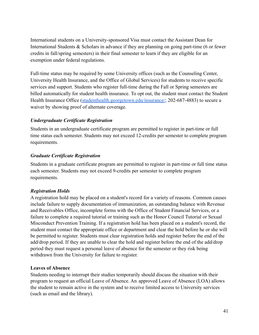International students on a University-sponsored Visa must contact the Assistant Dean for International Students & Scholars in advance if they are planning on going part-time (6 or fewer credits in fall/spring semesters) in their final semester to learn if they are eligible for an exemption under federal regulations.

Full-time status may be required by some University offices (such as the Counseling Center, University Health Insurance, and the Office of Global Services) for students to receive specific services and support. Students who register full-time during the Fall or Spring semesters are billed automatically for student health insurance. To opt out, the student must contact the Student Health Insurance Office [\(studenthealth.georgetown.edu/insurance/](http://studenthealth.georgetown.edu/insurance/); 202-687-4883) to secure a waiver by showing proof of alternate coverage.

## *Undergraduate Certificate Registration*

Students in an undergraduate certificate program are permitted to register in part-time or full time status each semester. Students may not exceed 12-credits per semester to complete program requirements.

## *Graduate Certificate Registration*

Students in a graduate certificate program are permitted to register in part-time or full time status each semester. Students may not exceed 9-credits per semester to complete program requirements.

# *Registration Holds*

A registration hold may be placed on a student's record for a variety of reasons. Common causes include failure to supply documentation of immunization, an outstanding balance with Revenue and Receivables Office, incomplete forms with the Office of Student Financial Services, or a failure to complete a required tutorial or training such as the Honor Council Tutorial or Sexual Misconduct Prevention Training. If a registration hold has been placed on a student's record, the student must contact the appropriate office or department and clear the hold before he or she will be permitted to register. Students must clear registration holds and register before the end of the add/drop period. If they are unable to clear the hold and register before the end of the add/drop period they must request a personal leave of absence for the semester or they risk being withdrawn from the University for failure to register.

#### **Leaves of Absence**

Students needing to interrupt their studies temporarily should discuss the situation with their program to request an official Leave of Absence. An approved Leave of Absence (LOA) allows the student to remain active in the system and to receive limited access to University services (such as email and the library).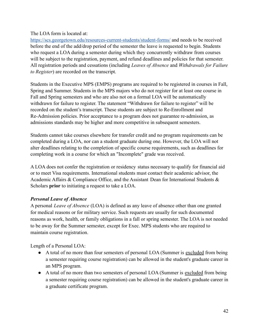## The LOA form is located at:

<https://scs.georgetown.edu/resources-current-students/student-forms/> and needs to be received before the end of the add/drop period of the semester the leave is requested to begin. Students who request a LOA during a semester during which they concurrently withdraw from courses will be subject to the registration, payment, and refund deadlines and policies for that semester. All registration periods and cessations (including *Leaves of Absence* and *Withdrawals for Failure to Register*) are recorded on the transcript.

Students in the Executive MPS (EMPS) programs are required to be registered in courses in Fall, Spring and Summer. Students in the MPS majors who do not register for at least one course in Fall and Spring semesters and who are also not on a formal LOA will be automatically withdrawn for failure to register. The statement "Withdrawn for failure to register" will be recorded on the student's transcript. These students are subject to Re-Enrollment and Re-Admission policies. Prior acceptance to a program does not guarantee re-admission, as admissions standards may be higher and more competitive in subsequent semesters.

Students cannot take courses elsewhere for transfer credit and no program requirements can be completed during a LOA, nor can a student graduate during one. However, the LOA will not alter deadlines relating to the completion of specific course requirements, such as deadlines for completing work in a course for which an "Incomplete" grade was received.

A LOA does not confer the registration or residency status necessary to qualify for financial aid or to meet Visa requirements. International students must contact their academic advisor, the Academic Affairs & Compliance Office, and the Assistant Dean for International Students & Scholars **prior** to initiating a request to take a LOA.

# *Personal Leave of Absence*

A personal *Leave of Absence* (LOA) is defined as any leave of absence other than one granted for medical reasons or for military service. Such requests are usually for such documented reasons as work, health, or family obligations in a fall or spring semester. The LOA is not needed to be away for the Summer semester, except for Exec. MPS students who are required to maintain course registration.

Length of a Personal LOA:

- A total of no more than four semesters of personal LOA (Summer is excluded from being a semester requiring course registration) can be allowed in the student's graduate career in an MPS program.
- A total of no more than two semesters of personal LOA (Summer is excluded from being a semester requiring course registration) can be allowed in the student's graduate career in a graduate certificate program.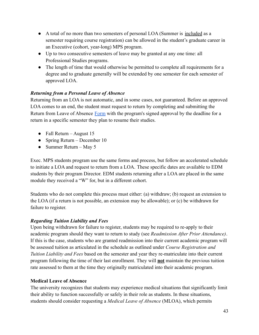- A total of no more than two semesters of personal LOA (Summer is included as a semester requiring course registration) can be allowed in the student's graduate career in an Executive (cohort, year-long) MPS program.
- Up to two consecutive semesters of leave may be granted at any one time: all Professional Studies programs.
- The length of time that would otherwise be permitted to complete all requirements for a degree and to graduate generally will be extended by one semester for each semester of approved LOA.

## *Returning from a Personal Leave of Absence*

Returning from an LOA is not automatic, and in some cases, not guaranteed. Before an approved LOA comes to an end, the student must request to return by completing and submitting the Return from Leave of Absence [Form](https://scs.georgetown.edu/resources-current-students/student-forms/) with the program's signed approval by the deadline for a return in a specific semester they plan to resume their studies.

- Fall Return August  $15$
- Spring Return December 10
- Summer Return May 5

Exec. MPS students program use the same forms and process, but follow an accelerated schedule to initiate a LOA and request to return from a LOA. These specific dates are available to EDM students by their program Director. EDM students returning after a LOA are placed in the same module they received a "W" for, but in a different cohort.

Students who do not complete this process must either: (a) withdraw; (b) request an extension to the LOA (if a return is not possible, an extension may be allowable); or (c) be withdrawn for failure to register.

#### *Regarding Tuition Liability and Fees*

Upon being withdrawn for failure to register, students may be required to re-apply to their academic program should they want to return to study (see *Readmission After Prior Attendance)*. If this is the case, students who are granted readmission into their current academic program will be assessed tuition as articulated in the schedule as outlined under *Course Registration and Tuition Liability and Fees* based on the semester and year they re-matriculate into their current program following the time of their last enrollment. They will **not** maintain the previous tuition rate assessed to them at the time they originally matriculated into their academic program.

#### **Medical Leave of Absence**

The university recognizes that students may experience medical situations that significantly limit their ability to function successfully or safely in their role as students. In these situations, students should consider requesting a *Medical Leave of Absence* (MLOA), which permits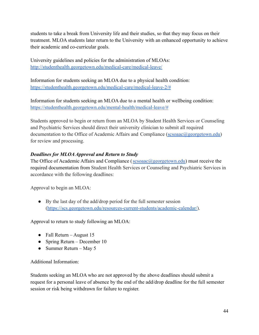students to take a break from University life and their studies, so that they may focus on their treatment. MLOA students later return to the University with an enhanced opportunity to achieve their academic and co-curricular goals.

University guidelines and policies for the administration of MLOAs: <http://studenthealth.georgetown.edu/medical-care/medical-leave/>

Information for students seeking an MLOA due to a physical health condition: [https://studenthealth.georgetown.edu/medical-care/medical-leave-2/#](https://studenthealth.georgetown.edu/medical-care/medical-leave-2/)

Information for students seeking an MLOA due to a mental health or wellbeing condition: [https://studenthealth.georgetown.edu/mental-health/medical-leave/#](https://studenthealth.georgetown.edu/mental-health/medical-leave/)

Students approved to begin or return from an MLOA by Student Health Services or Counseling and Psychiatric Services should direct their university clinician to submit all required documentation to the Office of Academic Affairs and Compliance ( $scsoaac@georgetown.edu$ ) for review and processing.

# *Deadlines for MLOAApproval and Return to Study*

The Office of Academic Affairs and Compliance ([scsoaac@georgetown.edu](mailto:scsoaac@georgetown.edu)) must receive the required documentation from Student Health Services or Counseling and Psychiatric Services in accordance with the following deadlines:

Approval to begin an MLOA:

● By the last day of the add/drop period for the full semester session (<https://scs.georgetown.edu/resources-current-students/academic-calendar/>).

Approval to return to study following an MLOA:

- Fall Return August  $15$
- Spring Return December 10
- Summer Return May 5

Additional Information:

Students seeking an MLOA who are not approved by the above deadlines should submit a request for a personal leave of absence by the end of the add/drop deadline for the full semester session or risk being withdrawn for failure to register.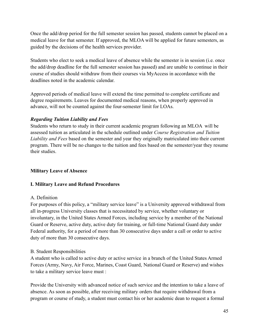Once the add/drop period for the full semester session has passed, students cannot be placed on a medical leave for that semester. If approved, the MLOA will be applied for future semesters, as guided by the decisions of the health services provider.

Students who elect to seek a medical leave of absence while the semester is in session (i.e. once the add/drop deadline for the full semester session has passed) and are unable to continue in their course of studies should withdraw from their courses via MyAccess in accordance with the deadlines noted in the academic calendar.

Approved periods of medical leave will extend the time permitted to complete certificate and degree requirements. Leaves for documented medical reasons, when properly approved in advance, will not be counted against the four-semester limit for LOAs.

## *Regarding Tuition Liability and Fees*

Students who return to study in their current academic program following an MLOA will be assessed tuition as articulated in the schedule outlined under *Course Registration and Tuition Liability and Fees* based on the semester and year they originally matriculated into their current program. There will be no changes to the tuition and fees based on the semester/year they resume their studies.

# **Military Leave of Absence**

#### **I. Military Leave and Refund Procedures**

#### A. Definition

For purposes of this policy, a "military service leave" is a University approved withdrawal from all in-progress University classes that is necessitated by service, whether voluntary or involuntary, in the United States Armed Forces, including service by a member of the National Guard or Reserve, active duty, active duty for training, or full-time National Guard duty under Federal authority, for a period of more than 30 consecutive days under a call or order to active duty of more than 30 consecutive days.

#### B. Student Responsibilities

A student who is called to active duty or active service in a branch of the United States Armed Forces (Army, Navy, Air Force, Marines, Coast Guard, National Guard or Reserve) and wishes to take a military service leave must :

Provide the University with advanced notice of such service and the intention to take a leave of absence. As soon as possible, after receiving military orders that require withdrawal from a program or course of study, a student must contact his or her academic dean to request a formal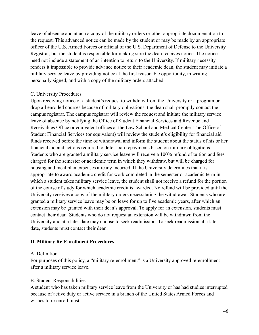leave of absence and attach a copy of the military orders or other appropriate documentation to the request. This advanced notice can be made by the student or may be made by an appropriate officer of the U.S. Armed Forces or official of the U.S. Department of Defense to the University Registrar, but the student is responsible for making sure the dean receives notice. The notice need not include a statement of an intention to return to the University. If military necessity renders it impossible to provide advance notice to their academic dean, the student may initiate a military service leave by providing notice at the first reasonable opportunity, in writing, personally signed, and with a copy of the military orders attached.

#### C. University Procedures

Upon receiving notice of a student's request to withdraw from the University or a program or drop all enrolled courses because of military obligations, the dean shall promptly contact the campus registrar. The campus registrar will review the request and initiate the military service leave of absence by notifying the Office of Student Financial Services and Revenue and Receivables Office or equivalent offices at the Law School and Medical Center. The Office of Student Financial Services (or equivalent) will review the student's eligibility for financial aid funds received before the time of withdrawal and inform the student about the status of his or her financial aid and actions required to defer loan repayments based on military obligations. Students who are granted a military service leave will receive a 100% refund of tuition and fees charged for the semester or academic term in which they withdraw, but will be charged for housing and meal plan expenses already incurred. If the University determines that it is appropriate to award academic credit for work completed in the semester or academic term in which a student takes military service leave, the student shall not receive a refund for the portion of the course of study for which academic credit is awarded. No refund will be provided until the University receives a copy of the military orders necessitating the withdrawal. Students who are granted a military service leave may be on leave for up to five academic years, after which an extension may be granted with their dean's approval. To apply for an extension, students must contact their dean. Students who do not request an extension will be withdrawn from the University and at a later date may choose to seek readmission. To seek readmission at a later date, students must contact their dean.

#### **II. Military Re-Enrollment Procedures**

#### A. Definition

For purposes of this policy, a "military re-enrollment" is a University approved re-enrollment after a military service leave.

#### B. Student Responsibilities

A student who has taken military service leave from the University or has had studies interrupted because of active duty or active service in a branch of the United States Armed Forces and wishes to re-enroll must: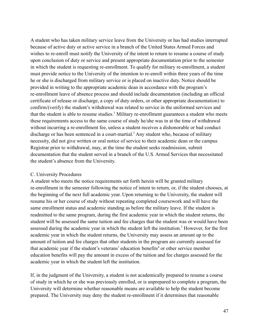A student who has taken military service leave from the University or has had studies interrupted because of active duty or active service in a branch of the United States Armed Forces and wishes to re-enroll must notify the University of the intent to return to resume a course of study upon conclusion of duty or service and present appropriate documentation prior to the semester in which the student is requesting re-enrollment. To qualify for military re-enrollment, a student must provide notice to the University of the intention to re-enroll within three years of the time he or she is discharged from military service or is placed on inactive duty. Notice should be provided in writing to the appropriate academic dean in accordance with the program's re-enrollment leave of absence process and should include documentation (including an official certificate of release or discharge, a copy of duty orders, or other appropriate documentation) to confirm/(verify) the student's withdrawal was related to service in the uniformed services and that the student is able to resume studies.<sup>1</sup> Military re-enrollment guarantees a student who meets these requirements access to the same course of study he/she was in at the time of withdrawal without incurring a re-enrollment fee, unless a student receives a dishonorable or bad conduct discharge or has been sentenced in a court-martial.<sup>2</sup> Any student who, because of military necessity, did not give written or oral notice of service to their academic dean or the campus Registrar prior to withdrawal, may, at the time the student seeks readmission, submit documentation that the student served in a branch of the U.S. Armed Services that necessitated the student's absence from the University.

#### C. University Procedures

A student who meets the notice requirements set forth herein will be granted military re-enrollment in the semester following the notice of intent to return, or, if the student chooses, at the beginning of the next full academic year. Upon returning to the University, the student will resume his or her course of study without repeating completed coursework and will have the same enrollment status and academic standing as before the military leave. If the student is readmitted to the same program, during the first academic year in which the student returns, the student will be assessed the same tuition and fee charges that the student was or would have been assessed during the academic year in which the student left the institution.<sup>3</sup> However, for the first academic year in which the student returns, the University may assess an amount up to the amount of tuition and fee charges that other students in the program are currently assessed for that academic year if the student's veterans' education benefits<sup>4</sup> or other service member education benefits will pay the amount in excess of the tuition and fee charges assessed for the academic year in which the student left the institution.

If, in the judgment of the University, a student is not academically prepared to resume a course of study in which he or she was previously enrolled, or is unprepared to complete a program, the University will determine whether reasonable means are available to help the student become prepared. The University may deny the student re-enrollment if it determines that reasonable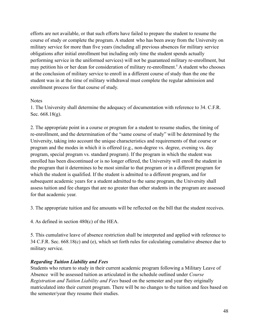efforts are not available, or that such efforts have failed to prepare the student to resume the course of study or complete the program. A student who has been away from the University on military service for more than five years (including all previous absences for military service obligations after initial enrollment but including only time the student spends actually performing service in the uniformed services) will not be guaranteed military re-enrollment, but may petition his or her dean for consideration of military re-enrollment.<sup>5</sup> A student who chooses at the conclusion of military service to enroll in a different course of study than the one the student was in at the time of military withdrawal must complete the regular admission and enrollment process for that course of study.

#### **Notes**

1. The University shall determine the adequacy of documentation with reference to 34. C.F.R. Sec. 668.18(g).

2. The appropriate point in a course or program for a student to resume studies, the timing of re-enrollment, and the determination of the "same course of study" will be determined by the University, taking into account the unique characteristics and requirements of that course or program and the modes in which it is offered (e.g., non-degree vs. degree, evening vs. day program, special program vs. standard program). If the program in which the student was enrolled has been discontinued or is no longer offered, the University will enroll the student in the program that it determines to be most similar to that program or in a different program for which the student is qualified. If the student is admitted to a different program, and for subsequent academic years for a student admitted to the same program, the University shall assess tuition and fee charges that are no greater than other students in the program are assessed for that academic year.

3. The appropriate tuition and fee amounts will be reflected on the bill that the student receives.

4. As defined in section 480(c) of the HEA.

5. This cumulative leave of absence restriction shall be interpreted and applied with reference to 34 C.F.R. Sec. 668.18(c) and (e), which set forth rules for calculating cumulative absence due to military service.

#### *Regarding Tuition Liability and Fees*

Students who return to study in their current academic program following a Military Leave of Absence will be assessed tuition as articulated in the schedule outlined under *Course Registration and Tuition Liability and Fees* based on the semester and year they originally matriculated into their current program. There will be no changes to the tuition and fees based on the semester/year they resume their studies.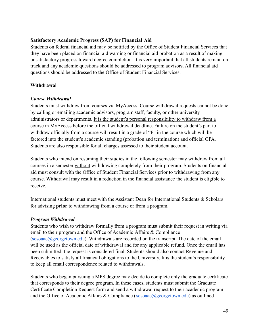## **Satisfactory Academic Progress (SAP) for Financial Aid**

Students on federal financial aid may be notified by the Office of Student Financial Services that they have been placed on financial aid warning or financial aid probation as a result of making unsatisfactory progress toward degree completion. It is very important that all students remain on track and any academic questions should be addressed to program advisors. All financial aid questions should be addressed to the Office of Student Financial Services.

# **Withdrawal**

## *Course Withdrawal*

Students must withdraw from courses via MyAccess. Course withdrawal requests cannot be done by calling or emailing academic advisors, program staff, faculty, or other university administrators or departments. It is the student's personal responsibility to withdraw from a course in MyAccess before the official withdrawal deadline. Failure on the student's part to withdraw officially from a course will result in a grade of "F" in the course which will be factored into the student's academic standing (probation and termination) and official GPA. Students are also responsible for all charges assessed to their student account.

Students who intend on resuming their studies in the following semester may withdraw from all courses in a semester without withdrawing completely from their program. Students on financial aid must consult with the Office of Student Financial Services prior to withdrawing from any course. Withdrawal may result in a reduction in the financial assistance the student is eligible to receive.

International students must meet with the Assistant Dean for International Students & Scholars for advising **prior** to withdrawing from a course or from a program.

#### *Program Withdrawal*

Students who wish to withdraw formally from a program must submit their request in writing via email to their program and the Office of Academic Affairs & Compliance  $(scsoaac@georgetown.edu)$  $(scsoaac@georgetown.edu)$  $(scsoaac@georgetown.edu)$ . Withdrawals are recorded on the transcript. The date of the email will be used as the official date of withdrawal and for any applicable refund. Once the email has been submitted, the request is considered final. Students should also contact Revenue and Receivables to satisfy all financial obligations to the University. It is the student's responsibility to keep all email correspondence related to withdrawals.

Students who began pursuing a MPS degree may decide to complete only the graduate certificate that corresponds to their degree program. In these cases, students must submit the Graduate Certificate Completion Request form and send a withdrawal request to their academic program and the Office of Academic Affairs & Compliance (scsoaac@georgetown.edu) as outlined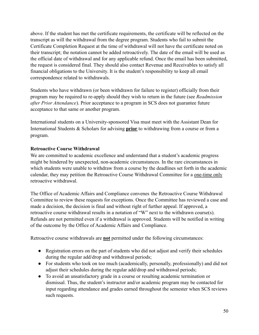above. If the student has met the certificate requirements, the certificate will be reflected on the transcript as will the withdrawal from the degree program. Students who fail to submit the Certificate Completion Request at the time of withdrawal will not have the certificate noted on their transcript; the notation cannot be added retroactively. The date of the email will be used as the official date of withdrawal and for any applicable refund. Once the email has been submitted, the request is considered final. They should also contact Revenue and Receivables to satisfy all financial obligations to the University. It is the student's responsibility to keep all email correspondence related to withdrawals.

Students who have withdrawn (or been withdrawn for failure to register) officially from their program may be required to re-apply should they wish to return in the future (see *Readmission after Prior Attendance*). Prior acceptance to a program in SCS does not guarantee future acceptance to that same or another program.

International students on a University-sponsored Visa must meet with the Assistant Dean for International Students & Scholars for advising **prior** to withdrawing from a course or from a program.

# **Retroactive Course Withdrawal**

We are committed to academic excellence and understand that a student's academic progress might be hindered by unexpected, non-academic circumstances. In the rare circumstances in which students were unable to withdraw from a course by the deadlines set forth in the academic calendar, they may petition the Retroactive Course Withdrawal Committee for a one-time only retroactive withdrawal.

The Office of Academic Affairs and Compliance convenes the Retroactive Course Withdrawal Committee to review these requests for exceptions. Once the Committee has reviewed a case and made a decision, the decision is final and without right of further appeal. If approved, a retroactive course withdrawal results in a notation of "W" next to the withdrawn course(s). Refunds are not permitted even if a withdrawal is approved. Students will be notified in writing of the outcome by the Office of Academic Affairs and Compliance.

Retroactive course withdrawals are **not** permitted under the following circumstances:

- Registration errors on the part of students who did not adjust and verify their schedules during the regular add/drop and withdrawal periods;
- For students who took on too much (academically, personally, professionally) and did not adjust their schedules during the regular add/drop and withdrawal periods;
- To avoid an unsatisfactory grade in a course or resulting academic termination or dismissal. Thus, the student's instructor and/or academic program may be contacted for input regarding attendance and grades earned throughout the semester when SCS reviews such requests.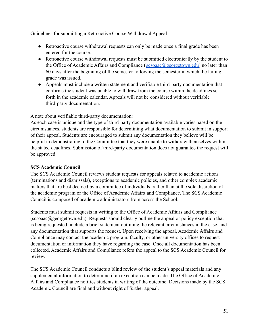Guidelines for submitting a Retroactive Course Withdrawal Appeal

- Retroactive course withdrawal requests can only be made once a final grade has been entered for the course.
- Retroactive course withdrawal requests must be submitted electronically by the student to the Office of Academic Affairs and Compliance (sesoaac@georgetown.edu) no later than 60 days after the beginning of the semester following the semester in which the failing grade was issued.
- Appeals must include a written statement and verifiable third-party documentation that confirms the student was unable to withdraw from the course within the deadlines set forth in the academic calendar. Appeals will not be considered without verifiable third-party documentation.

A note about verifiable third-party documentation:

As each case is unique and the type of third-party documentation available varies based on the circumstances, students are responsible for determining what documentation to submit in support of their appeal. Students are encouraged to submit any documentation they believe will be helpful in demonstrating to the Committee that they were unable to withdraw themselves within the stated deadlines. Submission of third-party documentation does not guarantee the request will be approved.

## **SCS Academic Council**

The SCS Academic Council reviews student requests for appeals related to academic actions (terminations and dismissals), exceptions to academic policies, and other complex academic matters that are best decided by a committee of individuals, rather than at the sole discretion of the academic program or the Office of Academic Affairs and Compliance. The SCS Academic Council is composed of academic administrators from across the School.

Students must submit requests in writing to the Office of Academic Affairs and Compliance (scsoaac@georgetown.edu). Requests should clearly outline the appeal or policy exception that is being requested, include a brief statement outlining the relevant circumstances in the case, and any documentation that supports the request. Upon receiving the appeal, Academic Affairs and Compliance may contact the academic program, faculty, or other university offices to request documentation or information they have regarding the case. Once all documentation has been collected, Academic Affairs and Compliance refers the appeal to the SCS Academic Council for review.

The SCS Academic Council conducts a blind review of the student's appeal materials and any supplemental information to determine if an exception can be made. The Office of Academic Affairs and Compliance notifies students in writing of the outcome. Decisions made by the SCS Academic Council are final and without right of further appeal.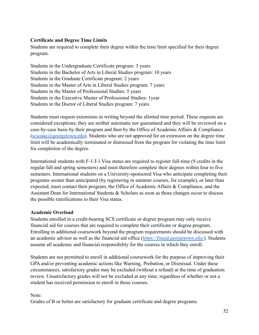## **Certificate and Degree Time Limits**

Students are required to complete their degree within the time limit specified for their degree program.

Students in the Undergraduate Certificate program: 3 years Students in the Bachelor of Arts in Liberal Studies program: 10 years Students in the Graduate Certificate program: 2 years Students in the Master of Arts in Liberal Studies program: 7 years Students in the Master of Professional Studies: 5 years Students in the Executive Master of Professional Studies: 1year Students in the Doctor of Liberal Studies program: 7 years

Students must request extensions in writing beyond the allotted time period. These requests are considered exceptions; they are neither automatic nor guaranteed and they will be reviewed on a case-by-case basis by their program and then by the Office of Academic Affairs & Compliance  $(scsoaac@georgetown.edu)$  $(scsoaac@georgetown.edu)$  $(scsoaac@georgetown.edu)$ . Students who are not approved for an extension on the degree time limit will be academically terminated or dismissed from the program for violating the time limit for completion of the degree.

International students with F-1/J-1 Visa status are required to register full-time (9 credits in the regular fall and spring semesters) and must therefore complete their degrees within four to five semesters. International students on a University-sponsored Visa who anticipate completing their programs sooner than anticipated (by registering in summer courses, for example), or later than expected, must contact their program, the Office of Academic Affairs & Compliance, and the Assistant Dean for International Students  $\&$  Scholars as soon as those changes occur to discuss the possible ramifications to their Visa status.

# **Academic Overload**

Students enrolled in a credit-bearing SCS certificate or degree program may only receive financial aid for courses that are required to complete their certificate or degree program. Enrolling in additional coursework beyond the program requirements should be discussed with an academic advisor as well as the financial aid office (<https://finaid.georgetown.edu/>). Students assume all academic and financial responsibility for the courses in which they enroll.

Students are not permitted to enroll in additional coursework for the purpose of improving their GPA and/or preventing academic actions like Warning, Probation, or Dismissal. Under these circumstances, satisfactory grades may be excluded (without a refund) at the time of graduation review. Unsatisfactory grades will not be excluded at any time, regardless of whether or not a student has received permission to enroll in those courses.

#### Note:

Grades of B or better are satisfactory for graduate certificate and degree programs.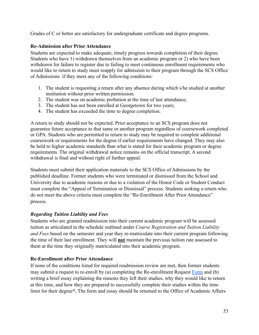Grades of C or better are satisfactory for undergraduate certificate and degree programs.

# **Re-Admission after Prior Attendance**

Students are expected to make adequate, timely progress towards completion of their degree. Students who have 1) withdrawn themselves from an academic program or 2) who have been withdrawn for failure to register due to failing to meet continuous enrollment requirements who would like to return to study must reapply for admission to their program through the SCS Office of Admissions if they meet any of the following conditions:

- 1. The student is requesting a return after any absence during which s/he studied at another institution without prior written permission.
- 2. The student was on academic probation at the time of last attendance;
- 3. The student has not been enrolled at Georgetown for two years;
- 4. The student has exceeded the time to degree completion.

A return to study should not be expected. Prior acceptance to an SCS program does not guarantee future acceptance to that same or another program regardless of coursework completed or GPA. Students who are permitted to return to study may be required to complete additional coursework or requirements for the degree if earlier requirements have changed. They may also be held to higher academic standards than what is stated for their academic program or degree requirements. The original withdrawal notice remains on the official transcript. A second withdrawal is final and without right of further appeal.

Students must submit their application materials to the SCS Office of Admissions by the published deadline. Former students who were terminated or dismissed from the School and University due to academic reasons or due to a violation of the Honor Code or Student Conduct must complete the "Appeal of Termination or Dismissal" process. Students seeking a return who do not meet the above criteria must complete the "Re-Enrollment After Prior Attendance" process.

# *Regarding Tuition Liability and Fees*

Students who are granted readmission into their current academic program will be assessed tuition as articulated in the schedule outlined under *Course Registration and Tuition Liability and Fees* based on the semester and year they re-matriculate into their current program following the time of their last enrollment. They will **not** maintain the previous tuition rate assessed to them at the time they originally matriculated into their academic program.

# **Re-Enrollment after Prior Attendance**

If none of the conditions listed for required readmission review are met, then former students may submit a request to re-enroll by (a) completing the Re-enrollment Request [Form](https://scs.georgetown.edu/resources-current-students/student-forms/) and (b) writing a brief essay explaining the reasons they left their studies, why they would like to return at this time, and how they are prepared to successfully complete their studies within the time limit for their degree**\*.** The form and essay should be returned to the Office of Academic Affairs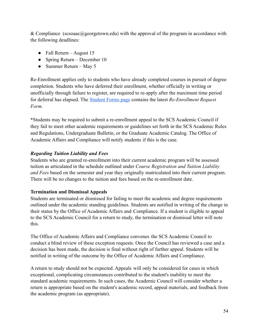& Compliance (scsoaac@georgetown.edu) with the approval of the program in accordance with the following deadlines:

- Fall Return August 15
- Spring Return December 10
- Summer Return May 5

Re-Enrollment applies only to students who have already completed courses in pursuit of degree completion. Students who have deferred their enrollment, whether officially in writing or unofficially through failure to register, are required to re-apply after the maximum time period for deferral has elapsed. The [Student Forms page](https://scs.georgetown.edu/resources-current-students/student-forms/) contains the latest *Re-Enrollment Request Form.*

**\***Students may be required to submit a re-enrollment appeal to the SCS Academic Council if they fail to meet other academic requirements or guidelines set forth in the SCS Academic Rules and Regulations, Undergraduate Bulletin, or the Graduate Academic Catalog. The Office of Academic Affairs and Compliance will notify students if this is the case.

# *Regarding Tuition Liability and Fees*

Students who are granted re-enrollment into their current academic program will be assessed tuition as articulated in the schedule outlined under *Course Registration and Tuition Liability and Fees* based on the semester and year they originally matriculated into their current program. There will be no changes to the tuition and fees based on the re-enrollment date.

# **Termination and Dismissal Appeals**

Students are terminated or dismissed for failing to meet the academic and degree requirements outlined under the academic standing guidelines. Students are notified in writing of the change in their status by the Office of Academic Affairs and Compliance. If a student is eligible to appeal to the SCS Academic Council for a return to study, the termination or dismissal letter will note this.

The Office of Academic Affairs and Compliance convenes the SCS Academic Council to conduct a blind review of these exception requests. Once the Council has reviewed a case and a decision has been made, the decision is final without right of further appeal. Students will be notified in writing of the outcome by the Office of Academic Affairs and Compliance.

A return to study should not be expected. Appeals will only be considered for cases in which exceptional, complicating circumstances contributed to the student's inability to meet the standard academic requirements. In such cases, the Academic Council will consider whether a return is appropriate based on the student's academic record, appeal materials, and feedback from the academic program (as appropriate).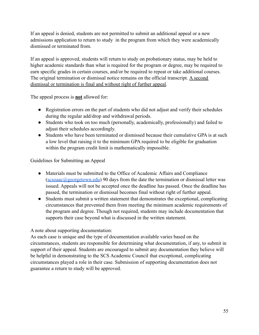If an appeal is denied, students are not permitted to submit an additional appeal or a new admissions application to return to study in the program from which they were academically dismissed or terminated from.

If an appeal is approved, students will return to study on probationary status, may be held to higher academic standards than what is required for the program or degree, may be required to earn specific grades in certain courses, and/or be required to repeat or take additional courses. The original termination or dismissal notice remains on the official transcript. A second dismissal or termination is final and without right of further appeal.

The appeal process is **not** allowed for:

- Registration errors on the part of students who did not adjust and verify their schedules during the regular add/drop and withdrawal periods.
- Students who took on too much (personally, academically, professionally) and failed to adjust their schedules accordingly.
- Students who have been terminated or dismissed because their cumulative GPA is at such a low level that raising it to the minimum GPA required to be eligible for graduation within the program credit limit is mathematically impossible.

Guidelines for Submitting an Appeal

- Materials must be submitted to the Office of Academic Affairs and Compliance  $(scsoaac@georgetown.edu)$  $(scsoaac@georgetown.edu)$  $(scsoaac@georgetown.edu)$  90 days from the date the termination or dismissal letter was issued. Appeals will not be accepted once the deadline has passed. Once the deadline has passed, the termination or dismissal becomes final without right of further appeal.
- Students must submit a written statement that demonstrates the exceptional, complicating circumstances that prevented them from meeting the minimum academic requirements of the program and degree. Though not required, students may include documentation that supports their case beyond what is discussed in the written statement.

A note about supporting documentation:

As each case is unique and the type of documentation available varies based on the circumstances, students are responsible for determining what documentation, if any, to submit in support of their appeal. Students are encouraged to submit any documentation they believe will be helpful in demonstrating to the SCS Academic Council that exceptional, complicating circumstances played a role in their case. Submission of supporting documentation does not guarantee a return to study will be approved.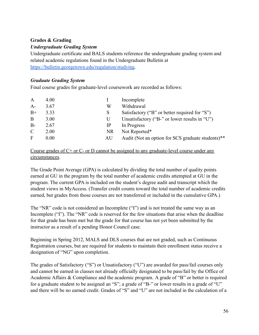# **Grades & Grading**

## *Undergraduate Grading System*

Undergraduate certificate and BALS students reference the undergraduate grading system and related academic regulations found in the Undergraduate Bulletin at <https://bulletin.georgetown.edu/regulation/studying>.

## *Graduate Grading System*

Final course grades for graduate-level coursework are recorded as follows:

| $\mathbf{A}$  | 4.00 |    | Incomplete                                        |
|---------------|------|----|---------------------------------------------------|
| $A-$          | 3.67 | W  | Withdrawal                                        |
| $B+$          | 3.33 | S. | Satisfactory ("B" or better required for "S")     |
| B.            | 3.00 | U  | Unsatisfactory ("B-" or lower results in "U")     |
| $B -$         | 2.67 | IP | In Progress                                       |
| $\mathcal{C}$ | 2.00 | NR | Not Reported*                                     |
| $\mathbf{F}$  | 0.00 | AU | Audit (Not an option for SCS graduate students)** |

## Course grades of  $C<sup>+</sup>$  or  $C<sup>-</sup>$  or D cannot be assigned to any graduate-level course under any circumstances.

The Grade Point Average (GPA) is calculated by dividing the total number of quality points earned at GU in the program by the total number of academic credits attempted at GU in the program. The current GPA is included on the student's degree audit and transcript which the student views in MyAccess. (Transfer credit counts toward the total number of academic credits earned, but grades from those courses are not transferred or included in the cumulative GPA.)

The "NR" code is not considered an Incomplete ("I") and is not treated the same way as an Incomplete ("I"). The "NR" code is reserved for the few situations that arise when the deadline for that grade has been met but the grade for that course has not yet been submitted by the instructor as a result of a pending Honor Council case.

Beginning in Spring 2012, MALS and DLS courses that are not graded, such as Continuous Registration courses, but are required for students to maintain their enrollment status receive a designation of "NG" upon completion.

The grades of Satisfactory ("S") or Unsatisfactory ("U") are awarded for pass/fail courses only and cannot be earned in classes not already officially designated to be pass/fail by the Office of Academic Affairs & Compliance and the academic program. A grade of "B" or better is required for a graduate student to be assigned an "S"; a grade of "B-" or lower results in a grade of "U" and there will be no earned credit. Grades of "S" and "U" are not included in the calculation of a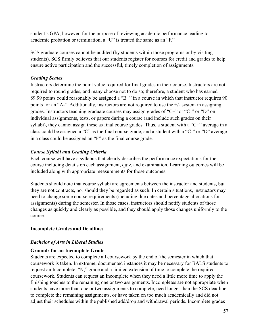student's GPA; however, for the purpose of reviewing academic performance leading to academic probation or termination, a "U" is treated the same as an "F."

SCS graduate courses cannot be audited (by students within those programs or by visiting students). SCS firmly believes that our students register for courses for credit and grades to help ensure active participation and the successful, timely completion of assignments.

# *Grading Scales*

Instructors determine the point value required for final grades in their course. Instructors are not required to round grades, and many choose not to do so; therefore, a student who has earned 89.99 points could reasonably be assigned a "B+" in a course in which that instructor requires 90 points for an "A-". Additionally, instructors are not required to use the +/- system in assigning grades. Instructors teaching graduate courses may assign grades of "C+" or "C-" or "D" on individual assignments, tests, or papers during a course (and include such grades on their syllabi), they cannot assign these as final course grades. Thus, a student with a "C+" average in a class could be assigned a "C" as the final course grade, and a student with a "C-" or "D" average in a class could be assigned an "F" as the final course grade.

# *Course Syllabi and Grading Criteria*

Each course will have a syllabus that clearly describes the performance expectations for the course including details on each assignment, quiz, and examination. Learning outcomes will be included along with appropriate measurements for those outcomes.

Students should note that course syllabi are agreements between the instructor and students, but they are not contracts, nor should they be regarded as such. In certain situations, instructors may need to change some course requirements (including due dates and percentage allocations for assignments) during the semester. In those cases, instructors should notify students of those changes as quickly and clearly as possible, and they should apply those changes uniformly to the course.

# **Incomplete Grades and Deadlines**

# *Bachelor of Arts in Liberal Studies*

#### **Grounds for an Incomplete Grade**

Students are expected to complete all coursework by the end of the semester in which that coursework is taken. In extreme, documented instances it may be necessary for BALS students to request an Incomplete, "N," grade and a limited extension of time to complete the required coursework. Students can request an Incomplete when they need a little more time to apply the finishing touches to the remaining one or two assignments. Incompletes are not appropriate when students have more than one or two assignments to complete, need longer than the SCS deadline to complete the remaining assignments, or have taken on too much academically and did not adjust their schedules within the published add/drop and withdrawal periods. Incomplete grades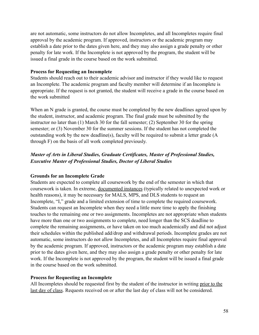are not automatic, some instructors do not allow Incompletes, and all Incompletes require final approval by the academic program. If approved, instructors or the academic program may establish a date prior to the dates given here, and they may also assign a grade penalty or other penalty for late work. If the Incomplete is not approved by the program, the student will be issued a final grade in the course based on the work submitted.

#### **Process for Requesting an Incomplete**

Students should reach out to their academic advisor and instructor if they would like to request an Incomplete. The academic program and faculty member will determine if an Incomplete is appropriate. If the request is not granted, the student will receive a grade in the course based on the work submitted

When an N grade is granted, the course must be completed by the new deadlines agreed upon by the student, instructor, and academic program. The final grade must be submitted by the instructor no later than (1) March 30 for the fall semester; (2) September 30 for the spring semester; or (3) November 30 for the summer sessions. If the student has not completed the outstanding work by the new deadline(s), faculty will be required to submit a letter grade (A through F) on the basis of all work completed previously.

# *Master of Arts in Liberal Studies, Graduate Certificates, Master of Professional Studies, Executive Master of Professional Studies, Doctor of Liberal Studies*

#### **Grounds for an Incomplete Grade**

Students are expected to complete all coursework by the end of the semester in which that coursework is taken. In extreme, documented instances (typically related to unexpected work or health reasons), it may be necessary for MALS, MPS, and DLS students to request an Incomplete, "I," grade and a limited extension of time to complete the required coursework. Students can request an Incomplete when they need a little more time to apply the finishing touches to the remaining one or two assignments. Incompletes are not appropriate when students have more than one or two assignments to complete, need longer than the SCS deadline to complete the remaining assignments, or have taken on too much academically and did not adjust their schedules within the published add/drop and withdrawal periods. Incomplete grades are not automatic, some instructors do not allow Incompletes, and all Incompletes require final approval by the academic program. If approved, instructors or the academic program may establish a date prior to the dates given here, and they may also assign a grade penalty or other penalty for late work. If the Incomplete is not approved by the program, the student will be issued a final grade in the course based on the work submitted.

#### **Process for Requesting an Incomplete**

All Incompletes should be requested first by the student of the instructor in writing prior to the last day of class. Requests received on or after the last day of class will not be considered.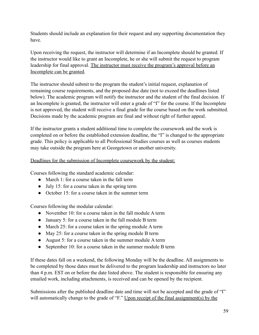Students should include an explanation for their request and any supporting documentation they have.

Upon receiving the request, the instructor will determine if an Incomplete should be granted. If the instructor would like to grant an Incomplete, he or she will submit the request to program leadership for final approval. The instructor must receive the program's approval before an Incomplete can be granted.

The instructor should submit to the program the student's initial request, explanation of remaining course requirements, and the proposed due date (not to exceed the deadlines listed below). The academic program will notify the instructor and the student of the final decision. If an Incomplete is granted, the instructor will enter a grade of "I" for the course. If the Incomplete is not approved, the student will receive a final grade for the course based on the work submitted. Decisions made by the academic program are final and without right of further appeal.

If the instructor grants a student additional time to complete the coursework and the work is completed on or before the established extension deadline, the "I" is changed to the appropriate grade. This policy is applicable to all Professional Studies courses as well as courses students may take outside the program here at Georgetown or another university.

## Deadlines for the submission of Incomplete coursework by the student:

Courses following the standard academic calendar:

- March 1: for a course taken in the fall term
- $\bullet$  July 15: for a course taken in the spring term
- October 15: for a course taken in the summer term

Courses following the modular calendar:

- November 10: for a course taken in the fall module A term
- January 5: for a course taken in the fall module B term
- March 25: for a course taken in the spring module A term
- May 25: for a course taken in the spring module B term
- August 5: for a course taken in the summer module A term
- September 10: for a course taken in the summer module B term

If these dates fall on a weekend, the following Monday will be the deadline. All assignments to be completed by those dates must be delivered to the program leadership and instructors no later than 4 p.m. EST on or before the date listed above. The student is responsible for ensuring any emailed work, including attachments, is received and can be opened by the recipient.

Submissions after the published deadline date and time will not be accepted and the grade of "I" will automatically change to the grade of "F." Upon receipt of the final assignment(s) by the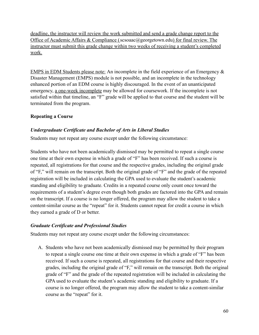deadline, the instructor will review the work submitted and send a grade change report to the Office of Academic Affairs & Compliance (scsoaac@georgetown.edu) for final review. The instructor must submit this grade change within two weeks of receiving a student's completed work.

EMPS in EDM Students please note: An incomplete in the field experience of an Emergency & Disaster Management (EMPS) module is not possible, and an incomplete in the technology enhanced portion of an EDM course is highly discouraged. In the event of an unanticipated emergency, a one-week incomplete may be allowed for coursework. If the incomplete is not satisfied within that timeline, an "F" grade will be applied to that course and the student will be terminated from the program.

## **Repeating a Course**

#### *Undergraduate Certificate and Bachelor of Arts in Liberal Studies*

Students may not repeat any course except under the following circumstance:

Students who have not been academically dismissed may be permitted to repeat a single course one time at their own expense in which a grade of "F" has been received. If such a course is repeated, all registrations for that course and the respective grades, including the original grade of "F," will remain on the transcript. Both the original grade of "F" and the grade of the repeated registration will be included in calculating the GPA used to evaluate the student's academic standing and eligibility to graduate. Credits in a repeated course only count once toward the requirements of a student's degree even though both grades are factored into the GPA and remain on the transcript. If a course is no longer offered, the program may allow the student to take a content-similar course as the "repeat" for it. Students cannot repeat for credit a course in which they earned a grade of D or better.

#### *Graduate Certificate and Professional Studies*

Students may not repeat any course except under the following circumstances:

A. Students who have not been academically dismissed may be permitted by their program to repeat a single course one time at their own expense in which a grade of "F" has been received. If such a course is repeated, all registrations for that course and their respective grades, including the original grade of "F," will remain on the transcript. Both the original grade of "F" and the grade of the repeated registration will be included in calculating the GPA used to evaluate the student's academic standing and eligibility to graduate. If a course is no longer offered, the program may allow the student to take a content-similar course as the "repeat" for it.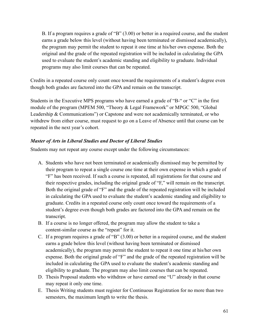B. If a program requires a grade of "B" (3.00) or better in a required course, and the student earns a grade below this level (without having been terminated or dismissed academically), the program may permit the student to repeat it one time at his/her own expense. Both the original and the grade of the repeated registration will be included in calculating the GPA used to evaluate the student's academic standing and eligibility to graduate. Individual programs may also limit courses that can be repeated.

Credits in a repeated course only count once toward the requirements of a student's degree even though both grades are factored into the GPA and remain on the transcript.

Students in the Executive MPS programs who have earned a grade of "B-" or "C" in the first module of the program (MPEM 500, "Theory & Legal Framework" or MPGC 500, "Global Leadership & Communications") or Capstone and were not academically terminated, or who withdrew from either course, must request to go on a Leave of Absence until that course can be repeated in the next year's cohort.

## *Master of Arts in Liberal Studies and Doctor of Liberal Studies*

Students may not repeat any course except under the following circumstances:

- A. Students who have not been terminated or academically dismissed may be permitted by their program to repeat a single course one time at their own expense in which a grade of "F" has been received. If such a course is repeated, all registrations for that course and their respective grades, including the original grade of "F," will remain on the transcript. Both the original grade of "F" and the grade of the repeated registration will be included in calculating the GPA used to evaluate the student's academic standing and eligibility to graduate. Credits in a repeated course only count once toward the requirements of a student's degree even though both grades are factored into the GPA and remain on the transcript.
- B. If a course is no longer offered, the program may allow the student to take a content-similar course as the "repeat" for it.
- C. If a program requires a grade of "B" (3.00) or better in a required course, and the student earns a grade below this level (without having been terminated or dismissed academically), the program may permit the student to repeat it one time at his/her own expense. Both the original grade of "F" and the grade of the repeated registration will be included in calculating the GPA used to evaluate the student's academic standing and eligibility to graduate. The program may also limit courses that can be repeated.
- D. Thesis Proposal students who withdraw or have earned one "U" already in that course may repeat it only one time.
- E. Thesis Writing students must register for Continuous Registration for no more than two semesters, the maximum length to write the thesis.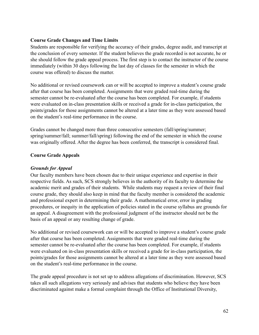## **Course Grade Changes and Time Limits**

Students are responsible for verifying the accuracy of their grades, degree audit, and transcript at the conclusion of every semester. If the student believes the grade recorded is not accurate, he or she should follow the grade appeal process. The first step is to contact the instructor of the course immediately (within 30 days following the last day of classes for the semester in which the course was offered) to discuss the matter.

No additional or revised coursework can or will be accepted to improve a student's course grade after that course has been completed. Assignments that were graded real-time during the semester cannot be re-evaluated after the course has been completed. For example, if students were evaluated on in-class presentation skills or received a grade for in-class participation, the points/grades for those assignments cannot be altered at a later time as they were assessed based on the student's real-time performance in the course.

Grades cannot be changed more than three consecutive semesters (fall/spring/summer; spring/summer/fall; summer/fall/spring) following the end of the semester in which the course was originally offered. After the degree has been conferred, the transcript is considered final.

## **Course Grade Appeals**

## *Grounds for Appeal*

Our faculty members have been chosen due to their unique experience and expertise in their respective fields. As such, SCS strongly believes in the authority of its faculty to determine the academic merit and grades of their students. While students may request a review of their final course grade, they should also keep in mind that the faculty member is considered the academic and professional expert in determining their grade. A mathematical error, error in grading procedures, or inequity in the application of policies stated in the course syllabus are grounds for an appeal. A disagreement with the professional judgment of the instructor should not be the basis of an appeal or any resulting change of grade.

No additional or revised coursework can or will be accepted to improve a student's course grade after that course has been completed. Assignments that were graded real-time during the semester cannot be re-evaluated after the course has been completed. For example, if students were evaluated on in-class presentation skills or received a grade for in-class participation, the points/grades for those assignments cannot be altered at a later time as they were assessed based on the student's real-time performance in the course.

The grade appeal procedure is not set up to address allegations of discrimination. However, SCS takes all such allegations very seriously and advises that students who believe they have been discriminated against make a formal complaint through the Office of Institutional Diversity,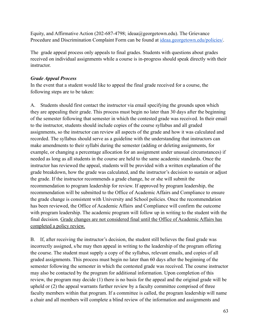Equity, and Affirmative Action (202-687-4798; ideaa@georgetown.edu). The Grievance Procedure and Discrimination Complaint Form can be found at [ideaa.georgetown.edu/policies/](http://ideaa.georgetown.edu/policies/).

The grade appeal process only appeals to final grades. Students with questions about grades received on individual assignments while a course is in-progress should speak directly with their instructor.

## *Grade Appeal Process*

In the event that a student would like to appeal the final grade received for a course, the following steps are to be taken:

A. Students should first contact the instructor via email specifying the grounds upon which they are appealing their grade. This process must begin no later than 30 days after the beginning of the semester following that semester in which the contested grade was received. In their email to the instructor, students should include copies of the course syllabus and all graded assignments, so the instructor can review all aspects of the grade and how it was calculated and recorded. The syllabus should serve as a guideline with the understanding that instructors can make amendments to their syllabi during the semester (adding or deleting assignments, for example, or changing a percentage allocation for an assignment under unusual circumstances) if needed as long as all students in the course are held to the same academic standards. Once the instructor has reviewed the appeal, students will be provided with a written explanation of the grade breakdown, how the grade was calculated, and the instructor's decision to sustain or adjust the grade. If the instructor recommends a grade change, he or she will submit the recommendation to program leadership for review. If approved by program leadership, the recommendation will be submitted to the Office of Academic Affairs and Compliance to ensure the grade change is consistent with University and School policies. Once the recommendation has been reviewed, the Office of Academic Affairs and Compliance will confirm the outcome with program leadership. The academic program will follow up in writing to the student with the final decision. Grade changes are not considered final until the Office of Academic Affairs has completed a policy review.

B. If, after receiving the instructor's decision, the student still believes the final grade was incorrectly assigned, s/he may then appeal in writing to the leadership of the program offering the course. The student must supply a copy of the syllabus, relevant emails, and copies of all graded assignments. This process must begin no later than 60 days after the beginning of the semester following the semester in which the contested grade was received. The course instructor may also be contacted by the program for additional information. Upon completion of this review, the program may decide (1) there is no basis for the appeal and the original grade will be upheld or (2) the appeal warrants further review by a faculty committee comprised of three faculty members within that program. If a committee is called, the program leadership will name a chair and all members will complete a blind review of the information and assignments and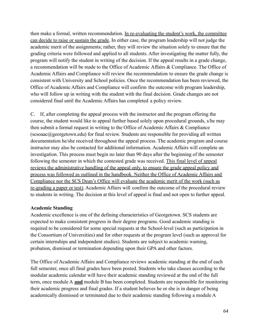then make a formal, written recommendation. In re-evaluating the student's work, the committee can decide to raise or sustain the grade. In either case, the program leadership will not judge the academic merit of the assignments; rather, they will review the situation solely to ensure that the grading criteria were followed and applied to all students. After investigating the matter fully, the program will notify the student in writing of the decision. If the appeal results in a grade change, a recommendation will be made to the Office of Academic Affairs & Compliance. The Office of Academic Affairs and Compliance will review the recommendation to ensure the grade change is consistent with University and School policies. Once the recommendation has been reviewed, the Office of Academic Affairs and Compliance will confirm the outcome with program leadership, who will follow up in writing with the student with the final decision. Grade changes are not considered final until the Academic Affairs has completed a policy review.

C. If, after completing the appeal process with the instructor and the program offering the course, the student would like to appeal further based solely upon procedural grounds, s/he may then submit a formal request in writing to the Office of Academic Affairs & Compliance  $(scsoaac@georgetown.edu)$  for final review. Students are responsible for providing all written documentation he/she received throughout the appeal process. The academic program and course instructor may also be contacted for additional information. Academic Affairs will complete an investigation. This process must begin no later than 90 days after the beginning of the semester following the semester in which the contested grade was received. This final level of appeal reviews the administrative handling of the appeal only, to ensure the grade appeal policy and process was followed as outlined in the handbook. Neither the Office of Academic Affairs and Compliance nor the SCS Dean's Office will evaluate the academic merit of the work (such as re-grading a paper or test). Academic Affairs will confirm the outcome of the procedural review to students in writing. The decision at this level of appeal is final and not open to further appeal.

#### **Academic Standing**

Academic excellence is one of the defining characteristics of Georgetown. SCS students are expected to make consistent progress in their degree programs. Good academic standing is required to be considered for some special requests at the School-level (such as participation in the Consortium of Universities) and for other requests at the program level (such as approval for certain internships and independent studies). Students are subject to academic warning, probation, dismissal or termination depending upon their GPA and other factors.

The Office of Academic Affairs and Compliance reviews academic standing at the end of each full semester, once all final grades have been posted. Students who take classes according to the modular academic calendar will have their academic standing reviewed at the end of the full term, once module A **and** module B has been completed. Students are responsible for monitoring their academic progress and final grades. If a student believes he or she is in danger of being academically dismissed or terminated due to their academic standing following a module A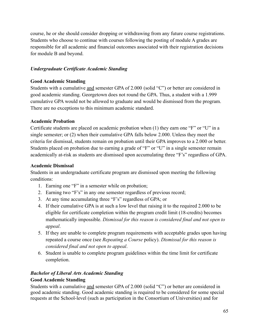course, he or she should consider dropping or withdrawing from any future course registrations. Students who choose to continue with courses following the posting of module A grades are responsible for all academic and financial outcomes associated with their registration decisions for module B and beyond.

## *Undergraduate Certificate Academic Standing*

## **Good Academic Standing**

Students with a cumulative and semester GPA of 2.000 (solid "C") or better are considered in good academic standing. Georgetown does not round the GPA. Thus, a student with a 1.999 cumulative GPA would not be allowed to graduate and would be dismissed from the program. There are no exceptions to this minimum academic standard.

## **Academic Probation**

Certificate students are placed on academic probation when (1) they earn one "F" or "U" in a single semester; or (2) when their cumulative GPA falls below 2.000. Unless they meet the criteria for dismissal, students remain on probation until their GPA improves to a 2.000 or better. Students placed on probation due to earning a grade of "F" or "U" in a single semester remain academically at-risk as students are dismissed upon accumulating three "F's" regardless of GPA.

## **Academic Dismissal**

Students in an undergraduate certificate program are dismissed upon meeting the following conditions:

- 1. Earning one "F" in a semester while on probation;
- 2. Earning two "F's" in any one semester regardless of previous record;
- 3. At any time accumulating three "F's" regardless of GPA; or
- 4. If their cumulative GPA is at such a low level that raising it to the required 2.000 to be eligible for certificate completion within the program credit limit (18-credits) becomes mathematically impossible. *Dismissal for this reason is considered final and not open to appeal*.
- 5. If they are unable to complete program requirements with acceptable grades upon having repeated a course once (see *Repeating a Course* policy). *Dismissal for this reason is considered final and not open to appeal*.
- 6. Student is unable to complete program guidelines within the time limit for certificate completion.

# *Bachelor of Liberal Arts Academic Standing*

#### **Good Academic Standing**

Students with a cumulative and semester GPA of 2.000 (solid "C") or better are considered in good academic standing. Good academic standing is required to be considered for some special requests at the School-level (such as participation in the Consortium of Universities) and for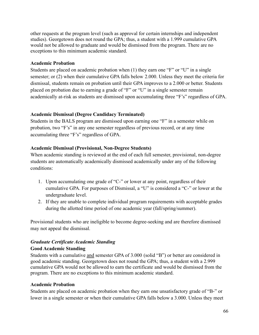other requests at the program level (such as approval for certain internships and independent studies). Georgetown does not round the GPA; thus, a student with a 1.999 cumulative GPA would not be allowed to graduate and would be dismissed from the program. There are no exceptions to this minimum academic standard.

#### **Academic Probation**

Students are placed on academic probation when (1) they earn one "F" or "U" in a single semester; or (2) when their cumulative GPA falls below 2.000. Unless they meet the criteria for dismissal, students remain on probation until their GPA improves to a 2.000 or better. Students placed on probation due to earning a grade of "F" or "U" in a single semester remain academically at-risk as students are dismissed upon accumulating three "F's" regardless of GPA.

#### **Academic Dismissal (Degree Candidacy Terminated)**

Students in the BALS program are dismissed upon earning one "F" in a semester while on probation, two "F's" in any one semester regardless of previous record, or at any time accumulating three "F's" regardless of GPA.

#### **Academic Dismissal (Provisional, Non-Degree Students)**

When academic standing is reviewed at the end of each full semester, provisional, non-degree students are automatically academically dismissed academically under any of the following conditions:

- 1. Upon accumulating one grade of "C-" or lower at any point, regardless of their cumulative GPA. For purposes of Dismissal, a "U" is considered a "C-" or lower at the undergraduate level.
- 2. If they are unable to complete individual program requirements with acceptable grades during the allotted time period of one academic year (fall/spring/summer).

Provisional students who are ineligible to become degree-seeking and are therefore dismissed may not appeal the dismissal.

# *Graduate Certificate Academic Standing*

#### **Good Academic Standing**

Students with a cumulative and semester GPA of 3.000 (solid "B") or better are considered in good academic standing. Georgetown does not round the GPA; thus, a student with a 2.999 cumulative GPA would not be allowed to earn the certificate and would be dismissed from the program. There are no exceptions to this minimum academic standard.

#### **Academic Probation**

Students are placed on academic probation when they earn one unsatisfactory grade of "B-" or lower in a single semester or when their cumulative GPA falls below a 3.000. Unless they meet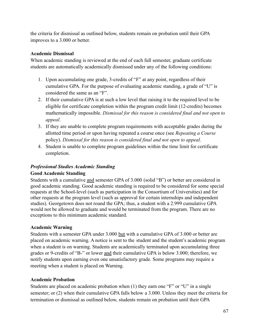the criteria for dismissal as outlined below, students remain on probation until their GPA improves to a 3.000 or better.

# **Academic Dismissal**

When academic standing is reviewed at the end of each full semester, graduate certificate students are automatically academically dismissed under any of the following conditions:

- 1. Upon accumulating one grade, 3-credits of "F" at any point, regardless of their cumulative GPA. For the purpose of evaluating academic standing, a grade of "U" is considered the same as an "F".
- 2. If their cumulative GPA is at such a low level that raising it to the required level to be eligible for certificate completion within the program credit limit (12-credits) becomes mathematically impossible. *Dismissal for this reason is considered final and not open to appeal*.
- 3. If they are unable to complete program requirements with acceptable grades during the allotted time period or upon having repeated a course once (see *Repeating a Course* policy). *Dismissal for this reason is considered final and not open to appeal*.
- 4. Student is unable to complete program guidelines within the time limit for certificate completion.

## *Professional Studies Academic Standing*

# **Good Academic Standing**

Students with a cumulative and semester GPA of 3.000 (solid "B") or better are considered in good academic standing. Good academic standing is required to be considered for some special requests at the School-level (such as participation in the Consortium of Universities) and for other requests at the program level (such as approval for certain internships and independent studies). Georgetown does not round the GPA; thus, a student with a 2.999 cumulative GPA would not be allowed to graduate and would be terminated from the program. There are no exceptions to this minimum academic standard.

#### **Academic Warning**

Students with a semester GPA under 3.000 but with a cumulative GPA of 3.000 or better are placed on academic warning. A notice is sent to the student and the student's academic program when a student is on warning. Students are academically terminated upon accumulating three grades or 9-credits of "B-" or lower and their cumulative GPA is below 3.000; therefore, we notify students upon earning even one unsatisfactory grade. Some programs may require a meeting when a student is placed on Warning.

# **Academic Probation**

Students are placed on academic probation when (1) they earn one "F" or "U" in a single semester; or (2) when their cumulative GPA falls below a 3.000. Unless they meet the criteria for termination or dismissal as outlined below, students remain on probation until their GPA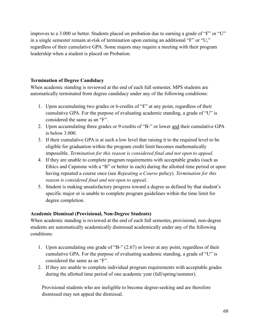improves to a 3.000 or better. Students placed on probation due to earning a grade of "F" or "U" in a single semester remain at-risk of termination upon earning an additional "F" or "U," regardless of their cumulative GPA. Some majors may require a meeting with their program leadership when a student is placed on Probation.

# **Termination of Degree Candidacy**

When academic standing is reviewed at the end of each full semester, MPS students are automatically terminated from degree candidacy under any of the following conditions:

- 1. Upon accumulating two grades or 6-credits of "F" at any point, regardless of their cumulative GPA. For the purpose of evaluating academic standing, a grade of "U" is considered the same as an "F".
- 2. Upon accumulating three grades or 9-credits of "B-" or lower and their cumulative GPA is below 3.000.
- 3. If their cumulative GPA is at such a low level that raising it to the required level to be eligible for graduation within the program credit limit becomes mathematically impossible. *Termination for this reason is considered final and not open to appeal*.
- 4. If they are unable to complete program requirements with acceptable grades (such as Ethics and Capstone with a "B" or better in each) during the allotted time period or upon having repeated a course once (see *Repeating a Course* policy). *Termination for this reason is considered final and not open to appeal*.
- 5. Student is making unsatisfactory progress toward a degree as defined by that student's specific major or is unable to complete program guidelines within the time limit for degree completion.

# **Academic Dismissal (Provisional, Non-Degree Students)**

When academic standing is reviewed at the end of each full semester**,** provisional, non-degree students are automatically academically dismissed academically under any of the following conditions:

- 1. Upon accumulating one grade of "B-" (2.67) or lower at any point, regardless of their cumulative GPA. For the purpose of evaluating academic standing, a grade of "U" is considered the same as an "F".
- 2. If they are unable to complete individual program requirements with acceptable grades during the allotted time period of one academic year (fall/spring/summer).

Provisional students who are ineligible to become degree-seeking and are therefore dismissed may not appeal the dismissal.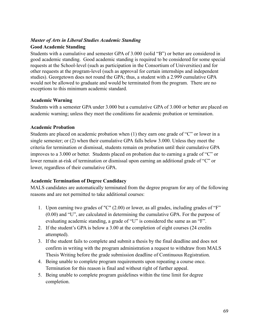# *Master of Arts in Liberal Studies Academic Standing*

## **Good Academic Standing**

Students with a cumulative and semester GPA of 3.000 (solid "B") or better are considered in good academic standing. Good academic standing is required to be considered for some special requests at the School-level (such as participation in the Consortium of Universities) and for other requests at the program-level (such as approval for certain internships and independent studies). Georgetown does not round the GPA; thus, a student with a 2.999 cumulative GPA would not be allowed to graduate and would be terminated from the program. There are no exceptions to this minimum academic standard.

## **Academic Warning**

Students with a semester GPA under 3.000 but a cumulative GPA of 3.000 or better are placed on academic warning; unless they meet the conditions for academic probation or termination.

# **Academic Probation**

Students are placed on academic probation when (1) they earn one grade of "C" or lower in a single semester; or (2) when their cumulative GPA falls below 3.000. Unless they meet the criteria for termination or dismissal, students remain on probation until their cumulative GPA improves to a 3.000 or better. Students placed on probation due to earning a grade of "C" or lower remain at-risk of termination or dismissal upon earning an additional grade of "C" or lower, regardless of their cumulative GPA.

# **Academic Termination of Degree Candidacy**

MALS candidates are automatically terminated from the degree program for any of the following reasons and are not permitted to take additional courses:

- 1. Upon earning two grades of "C" (2.00) or lower, as all grades, including grades of "F" (0.00) and "U", are calculated in determining the cumulative GPA. For the purpose of evaluating academic standing, a grade of "U" is considered the same as an "F".
- 2. If the student's GPA is below a 3.00 at the completion of eight courses (24 credits attempted).
- 3. If the student fails to complete and submit a thesis by the final deadline and does not confirm in writing with the program administration a request to withdraw from MALS Thesis Writing before the grade submission deadline of Continuous Registration.
- 4. Being unable to complete program requirements upon repeating a course once. Termination for this reason is final and without right of further appeal.
- 5. Being unable to complete program guidelines within the time limit for degree completion.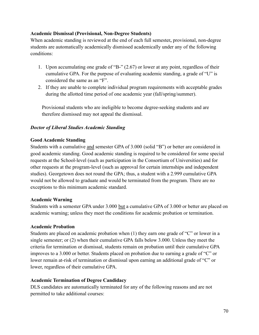## **Academic Dismissal (Provisional, Non-Degree Students)**

When academic standing is reviewed at the end of each full semester**,** provisional, non-degree students are automatically academically dismissed academically under any of the following conditions:

- 1. Upon accumulating one grade of "B-" (2.67) or lower at any point, regardless of their cumulative GPA. For the purpose of evaluating academic standing, a grade of "U" is considered the same as an "F".
- 2. If they are unable to complete individual program requirements with acceptable grades during the allotted time period of one academic year (fall/spring/summer).

Provisional students who are ineligible to become degree-seeking students and are therefore dismissed may not appeal the dismissal.

# *Doctor of Liberal Studies Academic Standing*

#### **Good Academic Standing**

Students with a cumulative and semester GPA of 3.000 (solid "B") or better are considered in good academic standing. Good academic standing is required to be considered for some special requests at the School-level (such as participation in the Consortium of Universities) and for other requests at the program-level (such as approval for certain internships and independent studies). Georgetown does not round the GPA; thus, a student with a 2.999 cumulative GPA would not be allowed to graduate and would be terminated from the program. There are no exceptions to this minimum academic standard.

#### **Academic Warning**

Students with a semester GPA under 3.000 but a cumulative GPA of 3.000 or better are placed on academic warning; unless they meet the conditions for academic probation or termination.

#### **Academic Probation**

Students are placed on academic probation when (1) they earn one grade of "C" or lower in a single semester; or (2) when their cumulative GPA falls below 3.000. Unless they meet the criteria for termination or dismissal, students remain on probation until their cumulative GPA improves to a 3.000 or better. Students placed on probation due to earning a grade of "C" or lower remain at-risk of termination or dismissal upon earning an additional grade of "C" or lower, regardless of their cumulative GPA.

#### **Academic Termination of Degree Candidacy**

DLS candidates are automatically terminated for any of the following reasons and are not permitted to take additional courses: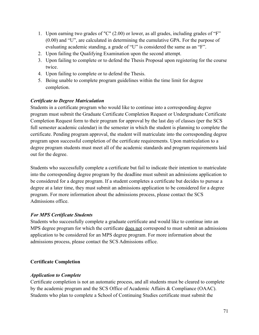- 1. Upon earning two grades of "C" (2.00) or lower, as all grades, including grades of "F" (0.00) and "U", are calculated in determining the cumulative GPA. For the purpose of evaluating academic standing, a grade of "U" is considered the same as an "F".
- 2. Upon failing the Qualifying Examination upon the second attempt.
- 3. Upon failing to complete or to defend the Thesis Proposal upon registering for the course twice.
- 4. Upon failing to complete or to defend the Thesis.
- 5. Being unable to complete program guidelines within the time limit for degree completion.

## *Certificate to Degree Matriculation*

Students in a certificate program who would like to continue into a corresponding degree program must submit the Graduate Certificate Completion Request or Undergraduate Certificate Completion Request form to their program for approval by the last day of classes (per the SCS full semester academic calendar) in the semester in which the student is planning to complete the certificate. Pending program approval, the student will matriculate into the corresponding degree program upon successful completion of the certificate requirements. Upon matriculation to a degree program students must meet all of the academic standards and program requirements laid out for the degree.

Students who successfully complete a certificate but fail to indicate their intention to matriculate into the corresponding degree program by the deadline must submit an admissions application to be considered for a degree program. If a student completes a certificate but decides to pursue a degree at a later time, they must submit an admissions application to be considered for a degree program. For more information about the admissions process, please contact the SCS Admissions office.

# *For MPS Certificate Students*

Students who successfully complete a graduate certificate and would like to continue into an MPS degree program for which the certificate does not correspond to must submit an admissions application to be considered for an MPS degree program. For more information about the admissions process, please contact the SCS Admissions office.

# **Certificate Completion**

#### *Application to Complete*

Certificate completion is not an automatic process, and all students must be cleared to complete by the academic program and the SCS Office of Academic Affairs & Compliance (OAAC). Students who plan to complete a School of Continuing Studies certificate must submit the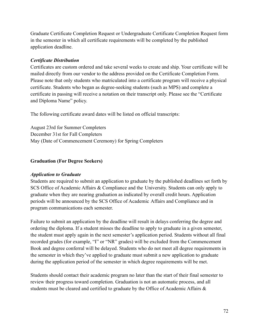Graduate Certificate Completion Request or Undergraduate Certificate Completion Request form in the semester in which all certificate requirements will be completed by the published application deadline.

## *Certificate Distribution*

Certificates are custom ordered and take several weeks to create and ship. Your certificate will be mailed directly from our vendor to the address provided on the Certificate Completion Form. Please note that only students who matriculated into a certificate program will receive a physical certificate. Students who began as degree-seeking students (such as MPS) and complete a certificate in passing will receive a notation on their transcript only. Please see the "Certificate and Diploma Name" policy.

The following certificate award dates will be listed on official transcripts:

August 23rd for Summer Completers December 31st for Fall Completers May (Date of Commencement Ceremony) for Spring Completers

## **Graduation (For Degree Seekers)**

#### *Application to Graduate*

Students are required to submit an application to graduate by the published deadlines set forth by SCS Office of Academic Affairs & Compliance and the University. Students can only apply to graduate when they are nearing graduation as indicated by overall credit hours. Application periods will be announced by the SCS Office of Academic Affairs and Compliance and in program communications each semester.

Failure to submit an application by the deadline will result in delays conferring the degree and ordering the diploma. If a student misses the deadline to apply to graduate in a given semester, the student must apply again in the next semester's application period. Students without all final recorded grades (for example, "I" or "NR" grades) will be excluded from the Commencement Book and degree conferral will be delayed. Students who do not meet all degree requirements in the semester in which they've applied to graduate must submit a new application to graduate during the application period of the semester in which degree requirements will be met.

Students should contact their academic program no later than the start of their final semester to review their progress toward completion. Graduation is not an automatic process, and all students must be cleared and certified to graduate by the Office of Academic Affairs &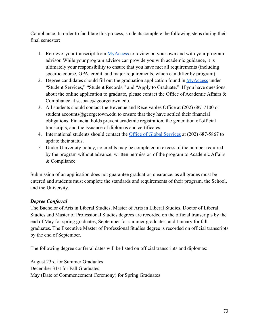Compliance. In order to facilitate this process, students complete the following steps during their final semester:

- 1. Retrieve your transcript from [MyAccess](https://myaccess.georgetown.edu/) to review on your own and with your program advisor. While your program advisor can provide you with academic guidance, it is ultimately your responsibility to ensure that you have met all requirements (including specific course, GPA, credit, and major requirements, which can differ by program).
- 2. Degree candidates should fill out the graduation application found in [MyAccess](https://myaccess.georgetown.edu/) under "Student Services," "Student Records," and "Apply to Graduate." If you have questions about the online application to graduate, please contact the Office of Academic Affairs & Compliance at scsoaac@georgetown.edu.
- 3. All students should contact the Revenue and Receivables Office at (202) 687-7100 or student accounts@georgetown.edu to ensure that they have settled their financial obligations. Financial holds prevent academic registration, the generation of official transcripts, and the issuance of diplomas and certificates.
- 4. International students should contact the Office of [Global Services](http://globalservices.georgetown.edu/) at (202) 687-5867 to update their status.
- 5. Under University policy, no credits may be completed in excess of the number required by the program without advance, written permission of the program to Academic Affairs & Compliance.

Submission of an application does not guarantee graduation clearance, as all grades must be entered and students must complete the standards and requirements of their program, the School, and the University.

# *Degree Conferral*

The Bachelor of Arts in Liberal Studies, Master of Arts in Liberal Studies, Doctor of Liberal Studies and Master of Professional Studies degrees are recorded on the official transcripts by the end of May for spring graduates, September for summer graduates, and January for fall graduates. The Executive Master of Professional Studies degree is recorded on official transcripts by the end of September.

The following degree conferral dates will be listed on official transcripts and diplomas:

August 23rd for Summer Graduates December 31st for Fall Graduates May (Date of Commencement Ceremony) for Spring Graduates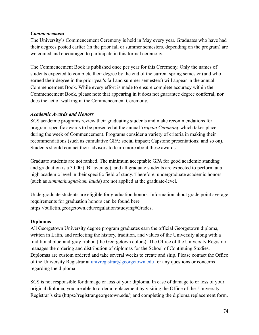### *Commencement*

The University's Commencement Ceremony is held in May every year. Graduates who have had their degrees posted earlier (in the prior fall or summer semesters, depending on the program) are welcomed and encouraged to participate in this formal ceremony.

The Commencement Book is published once per year for this Ceremony. Only the names of students expected to complete their degree by the end of the current spring semester (and who earned their degree in the prior year's fall and summer semesters) will appear in the annual Commencement Book. While every effort is made to ensure complete accuracy within the Commencement Book, please note that appearing in it does not guarantee degree conferral, nor does the act of walking in the Commencement Ceremony.

### *Academic Awards and Honors*

SCS academic programs review their graduating students and make recommendations for program-specific awards to be presented at the annual *Tropaia Ceremony* which takes place during the week of Commencement. Programs consider a variety of criteria in making their recommendations (such as cumulative GPA; social impact; Capstone presentations; and so on). Students should contact their advisors to learn more about these awards.

Graduate students are not ranked. The minimum acceptable GPA for good academic standing and graduation is a 3.000 ("B" average), and all graduate students are expected to perform at a high academic level in their specific field of study. Therefore, undergraduate academic honors (such as *summa/magna/cum laude*) are not applied at the graduate-level.

Undergraduate students are eligible for graduation honors. Information about grade point average requirements for graduation honors can be found here https://bulletin.georgetown.edu/regulation/studying#Grades.

# **Diplomas**

All Georgetown University degree program graduates earn the official Georgetown diploma, written in Latin, and reflecting the history, tradition, and values of the University along with a traditional blue-and-gray ribbon (the Georgetown colors). The Office of the University Registrar manages the ordering and distribution of diplomas for the School of Continuing Studies. Diplomas are custom ordered and take several weeks to create and ship. Please contact the Office of the University Registrar at univregistrar@georgetown.edu for any questions or concerns regarding the diploma

SCS is not responsible for damage or loss of your diploma. In case of damage to or loss of your original diploma, you are able to order a replacement by visiting the Office of the [University](http://registrar.georgetown.edu/records/diploma-replacement/) [Registrar's site](http://registrar.georgetown.edu/records/diploma-replacement/) (https://registrar.georgetown.edu/) and completing the diploma replacement form.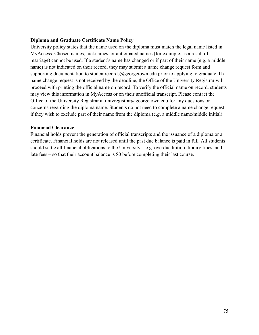#### **Diploma and Graduate Certificate Name Policy**

University policy states that the name used on the diploma must match the legal name listed in MyAccess. Chosen names, nicknames, or anticipated names (for example, as a result of marriage) cannot be used. If a student's name has changed or if part of their name (e.g. a middle name) is not indicated on their record, they may submit a name change request form and supporting documentation to studentrecords@georgetown.edu prior to applying to graduate. If a name change request is not received by the deadline, the Office of the University Registrar will proceed with printing the official name on record. To verify the official name on record, students may view this information in MyAccess or on their unofficial transcript. Please contact the Office of the University Registrar at univregistrar@georgetown.edu for any questions or concerns regarding the diploma name. Students do not need to complete a name change request if they wish to exclude part of their name from the diploma (e.g. a middle name/middle initial).

#### **Financial Clearance**

Financial holds prevent the generation of official transcripts and the issuance of a diploma or a certificate. Financial holds are not released until the past due balance is paid in full. All students should settle all financial obligations to the University – e.g. overdue tuition, library fines, and late fees – so that their account balance is \$0 before completing their last course.